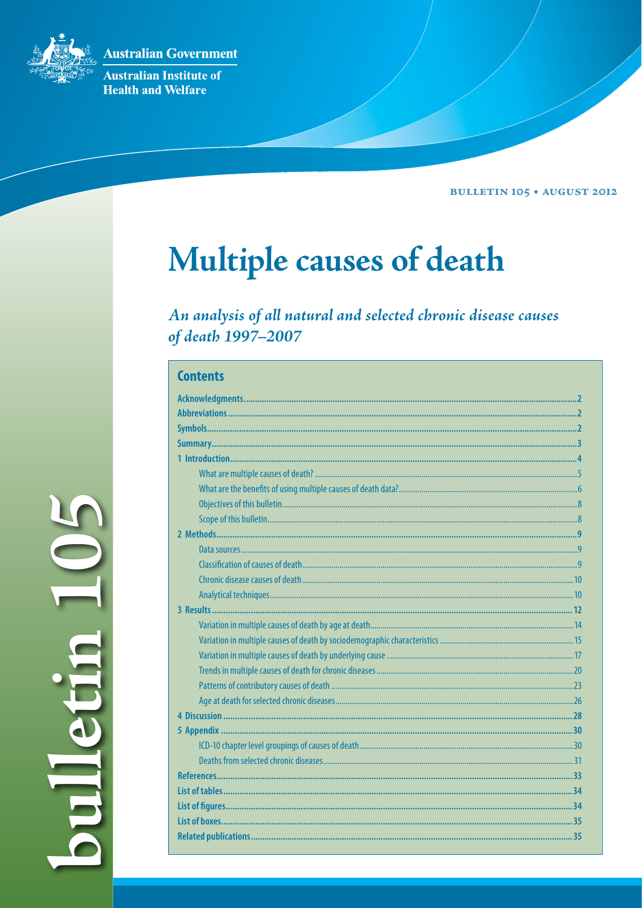**Australian Government** 

Australian Institute of **Health and Welfare** 

**BULLETIN 105 + AUGUST 2012** 

# Multiple causes of death

An analysis of all natural and selected chronic disease causes of death 1997-2007

| <b>Contents</b> |  |  |  |  |
|-----------------|--|--|--|--|
|                 |  |  |  |  |
|                 |  |  |  |  |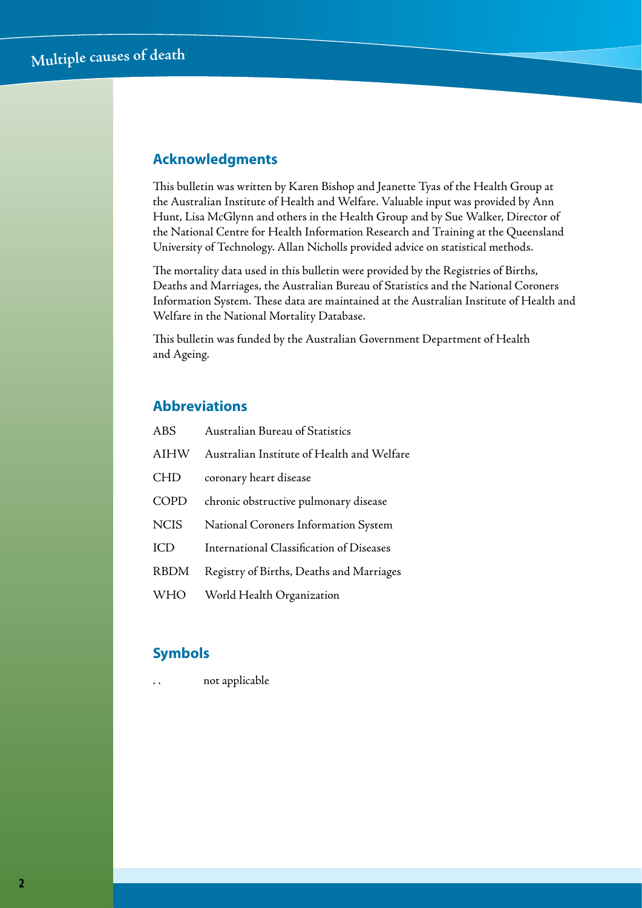## **Acknowledgments**

This bulletin was written by Karen Bishop and Jeanette Tyas of the Health Group at the Australian Institute of Health and Welfare. Valuable input was provided by Ann Hunt, Lisa McGlynn and others in the Health Group and by Sue Walker, Director of the National Centre for Health Information Research and Training at the Queensland University of Technology. Allan Nicholls provided advice on statistical methods.

The mortality data used in this bulletin were provided by the Registries of Births, Deaths and Marriages, the Australian Bureau of Statistics and the National Coroners Information System. These data are maintained at the Australian Institute of Health and Welfare in the National Mortality Database.

This bulletin was funded by the Australian Government Department of Health and Ageing.

## **Abbreviations**

| <b>ABS</b>  | Australian Bureau of Statistics            |
|-------------|--------------------------------------------|
| AIHW        | Australian Institute of Health and Welfare |
| <b>CHD</b>  | coronary heart disease                     |
| <b>COPD</b> | chronic obstructive pulmonary disease      |
| <b>NCIS</b> | National Coroners Information System       |
| <b>ICD</b>  | International Classification of Diseases   |
| <b>RBDM</b> | Registry of Births, Deaths and Marriages   |
| <b>WHO</b>  | World Health Organization                  |

## **Symbols**

not applicable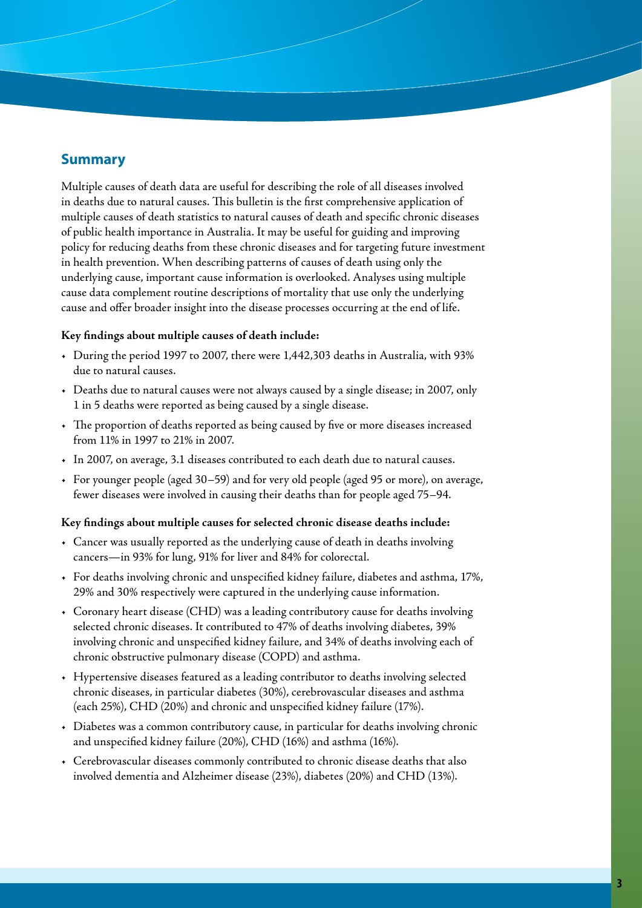## **Summary**

Multiple causes of death data are useful for describing the role of all diseases involved in deaths due to natural causes. This bulletin is the first comprehensive application of multiple causes of death statistics to natural causes of death and specific chronic diseases of public health importance in Australia. It may be useful for guiding and improving policy for reducing deaths from these chronic diseases and for targeting future investment in health prevention. When describing patterns of causes of death using only the underlying cause, important cause information is overlooked. Analyses using multiple cause data complement routine descriptions of mortality that use only the underlying cause and offer broader insight into the disease processes occurring at the end of life.

#### **Key findings about multiple causes of death include:**

- • During the period 1997 to 2007, there were 1,442,303 deaths in Australia, with 93% due to natural causes.
- • Deaths due to natural causes were not always caused by a single disease; in 2007, only 1 in 5 deaths were reported as being caused by a single disease.
- • The proportion of deaths reported as being caused by five or more diseases increased from 11% in 1997 to 21% in 2007.
- • In 2007, on average, 3.1 diseases contributed to each death due to natural causes.
- • For younger people (aged 30–59) and for very old people (aged 95 or more), on average, fewer diseases were involved in causing their deaths than for people aged 75–94.

#### **Key findings about multiple causes for selected chronic disease deaths include:**

- • Cancer was usually reported as the underlying cause of death in deaths involving cancers—in 93% for lung, 91% for liver and 84% for colorectal.
- • For deaths involving chronic and unspecified kidney failure, diabetes and asthma, 17%, 29% and 30% respectively were captured in the underlying cause information.
- • Coronary heart disease (CHD) was a leading contributory cause for deaths involving selected chronic diseases. It contributed to 47% of deaths involving diabetes, 39% involving chronic and unspecified kidney failure, and 34% of deaths involving each of chronic obstructive pulmonary disease (COPD) and asthma.
- • Hypertensive diseases featured as a leading contributor to deaths involving selected chronic diseases, in particular diabetes (30%), cerebrovascular diseases and asthma (each 25%), CHD (20%) and chronic and unspecified kidney failure (17%).
- • Diabetes was a common contributory cause, in particular for deaths involving chronic and unspecified kidney failure (20%), CHD (16%) and asthma (16%).
- • Cerebrovascular diseases commonly contributed to chronic disease deaths that also involved dementia and Alzheimer disease (23%), diabetes (20%) and CHD (13%).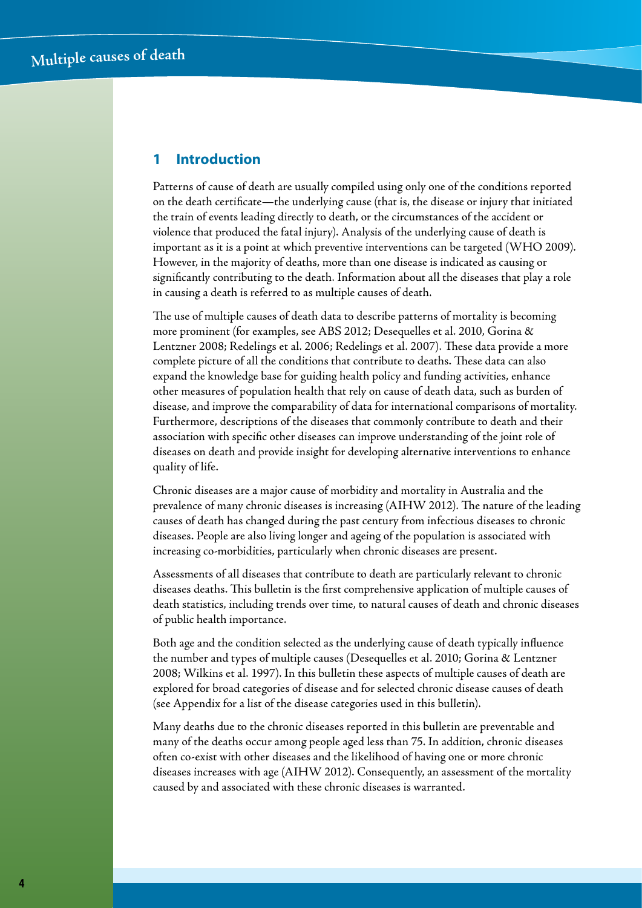## **1 Introduction**

Patterns of cause of death are usually compiled using only one of the conditions reported on the death certificate—the underlying cause (that is, the disease or injury that initiated the train of events leading directly to death, or the circumstances of the accident or violence that produced the fatal injury). Analysis of the underlying cause of death is important as it is a point at which preventive interventions can be targeted (WHO 2009). However, in the majority of deaths, more than one disease is indicated as causing or significantly contributing to the death. Information about all the diseases that play a role in causing a death is referred to as multiple causes of death.

The use of multiple causes of death data to describe patterns of mortality is becoming more prominent (for examples, see ABS 2012; Desequelles et al. 2010, Gorina & Lentzner 2008; Redelings et al. 2006; Redelings et al. 2007). These data provide a more complete picture of all the conditions that contribute to deaths. These data can also expand the knowledge base for guiding health policy and funding activities, enhance other measures of population health that rely on cause of death data, such as burden of disease, and improve the comparability of data for international comparisons of mortality. Furthermore, descriptions of the diseases that commonly contribute to death and their association with specific other diseases can improve understanding of the joint role of diseases on death and provide insight for developing alternative interventions to enhance quality of life.

Chronic diseases are a major cause of morbidity and mortality in Australia and the prevalence of many chronic diseases is increasing (AIHW 2012). The nature of the leading causes of death has changed during the past century from infectious diseases to chronic diseases. People are also living longer and ageing of the population is associated with increasing co-morbidities, particularly when chronic diseases are present.

Assessments of all diseases that contribute to death are particularly relevant to chronic diseases deaths. This bulletin is the first comprehensive application of multiple causes of death statistics, including trends over time, to natural causes of death and chronic diseases of public health importance.

Both age and the condition selected as the underlying cause of death typically influence the number and types of multiple causes (Desequelles et al. 2010; Gorina & Lentzner 2008; Wilkins et al. 1997). In this bulletin these aspects of multiple causes of death are explored for broad categories of disease and for selected chronic disease causes of death (see Appendix for a list of the disease categories used in this bulletin).

Many deaths due to the chronic diseases reported in this bulletin are preventable and many of the deaths occur among people aged less than 75. In addition, chronic diseases often co-exist with other diseases and the likelihood of having one or more chronic diseases increases with age (AIHW 2012). Consequently, an assessment of the mortality caused by and associated with these chronic diseases is warranted.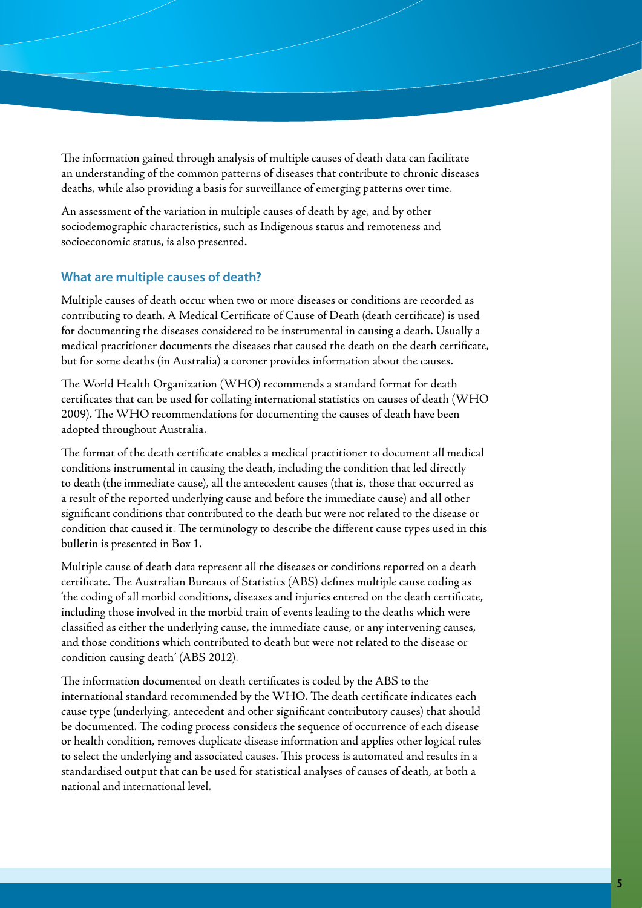The information gained through analysis of multiple causes of death data can facilitate an understanding of the common patterns of diseases that contribute to chronic diseases deaths, while also providing a basis for surveillance of emerging patterns over time.

An assessment of the variation in multiple causes of death by age, and by other sociodemographic characteristics, such as Indigenous status and remoteness and socioeconomic status, is also presented.

#### **What are multiple causes of death?**

Multiple causes of death occur when two or more diseases or conditions are recorded as contributing to death. A Medical Certificate of Cause of Death (death certificate) is used for documenting the diseases considered to be instrumental in causing a death. Usually a medical practitioner documents the diseases that caused the death on the death certificate, but for some deaths (in Australia) a coroner provides information about the causes.

The World Health Organization (WHO) recommends a standard format for death certificates that can be used for collating international statistics on causes of death (WHO 2009). The WHO recommendations for documenting the causes of death have been adopted throughout Australia.

The format of the death certificate enables a medical practitioner to document all medical conditions instrumental in causing the death, including the condition that led directly to death (the immediate cause), all the antecedent causes (that is, those that occurred as a result of the reported underlying cause and before the immediate cause) and all other significant conditions that contributed to the death but were not related to the disease or condition that caused it. The terminology to describe the different cause types used in this bulletin is presented in Box 1.

Multiple cause of death data represent all the diseases or conditions reported on a death certificate. The Australian Bureaus of Statistics (ABS) defines multiple cause coding as 'the coding of all morbid conditions, diseases and injuries entered on the death certificate, including those involved in the morbid train of events leading to the deaths which were classified as either the underlying cause, the immediate cause, or any intervening causes, and those conditions which contributed to death but were not related to the disease or condition causing death' (ABS 2012).

The information documented on death certificates is coded by the ABS to the international standard recommended by the WHO. The death certificate indicates each cause type (underlying, antecedent and other significant contributory causes) that should be documented. The coding process considers the sequence of occurrence of each disease or health condition, removes duplicate disease information and applies other logical rules to select the underlying and associated causes. This process is automated and results in a standardised output that can be used for statistical analyses of causes of death, at both a national and international level.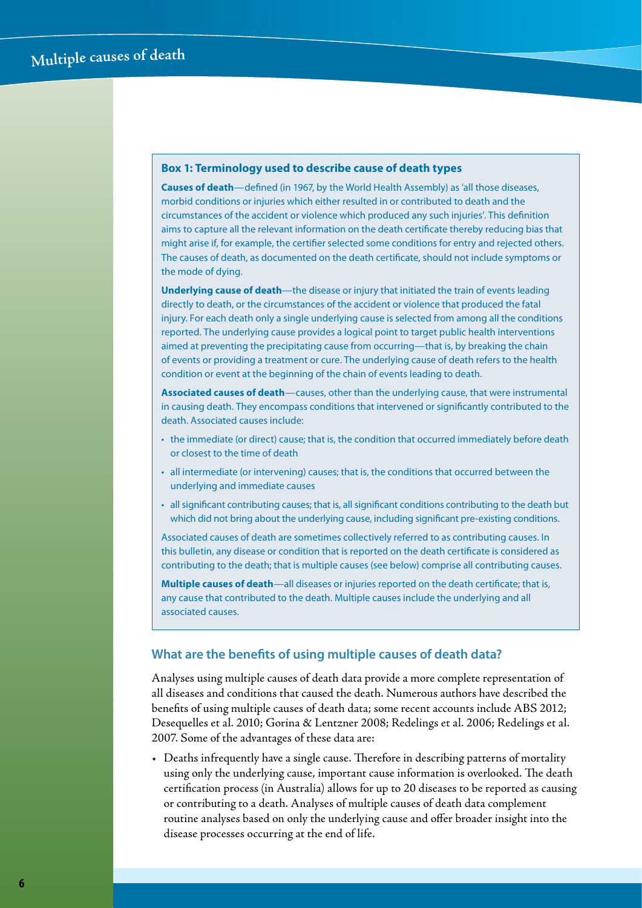#### **Box 1: Terminology used to describe cause of death types**

**Causes of death**—defined (in 1967, by the World Health Assembly) as 'all those diseases, morbid conditions or injuries which either resulted in or contributed to death and the circumstances of the accident or violence which produced any such injuries'. This definition aims to capture all the relevant information on the death certificate thereby reducing bias that might arise if, for example, the certifier selected some conditions for entry and rejected others. The causes of death, as documented on the death certificate, should not include symptoms or the mode of dying.

**Underlying cause of death**—the disease or injury that initiated the train of events leading directly to death, or the circumstances of the accident or violence that produced the fatal injury. For each death only a single underlying cause is selected from among all the conditions reported. The underlying cause provides a logical point to target public health interventions aimed at preventing the precipitating cause from occurring—that is, by breaking the chain of events or providing a treatment or cure. The underlying cause of death refers to the health condition or event at the beginning of the chain of events leading to death.

**Associated causes of death**—causes, other than the underlying cause, that were instrumental in causing death. They encompass conditions that intervened or significantly contributed to the death. Associated causes include:

- the immediate (or direct) cause; that is, the condition that occurred immediately before death or closest to the time of death
- • all intermediate (or intervening) causes; that is, the conditions that occurred between the underlying and immediate causes
- • all significant contributing causes; that is, all significant conditions contributing to the death but which did not bring about the underlying cause, including significant pre-existing conditions.

Associated causes of death are sometimes collectively referred to as contributing causes. In this bulletin, any disease or condition that is reported on the death certificate is considered as contributing to the death; that is multiple causes (see below) comprise all contributing causes.

**Multiple causes of death**—all diseases or injuries reported on the death certificate; that is, any cause that contributed to the death. Multiple causes include the underlying and all associated causes.

#### **What are the benefits of using multiple causes of death data?**

Analyses using multiple causes of death data provide a more complete representation of all diseases and conditions that caused the death. Numerous authors have described the benefits of using multiple causes of death data; some recent accounts include ABS 2012; Desequelles et al. 2010; Gorina & Lentzner 2008; Redelings et al. 2006; Redelings et al. 2007. Some of the advantages of these data are:

• Deaths infrequently have a single cause. Therefore in describing patterns of mortality using only the underlying cause, important cause information is overlooked. The death certification process (in Australia) allows for up to 20 diseases to be reported as causing or contributing to a death. Analyses of multiple causes of death data complement routine analyses based on only the underlying cause and offer broader insight into the disease processes occurring at the end of life.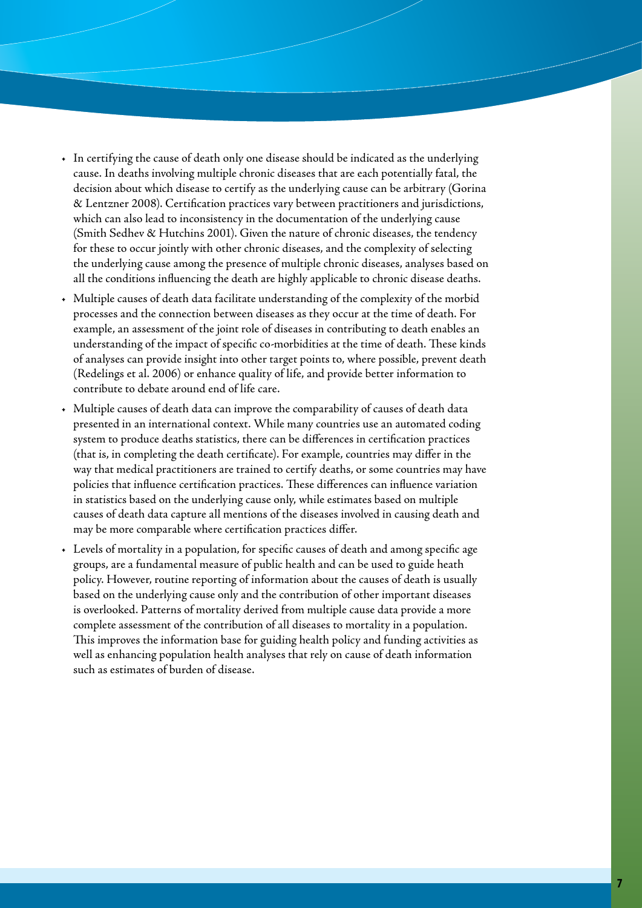- • In certifying the cause of death only one disease should be indicated as the underlying cause. In deaths involving multiple chronic diseases that are each potentially fatal, the decision about which disease to certify as the underlying cause can be arbitrary (Gorina & Lentzner 2008). Certification practices vary between practitioners and jurisdictions, which can also lead to inconsistency in the documentation of the underlying cause (Smith Sedhev & Hutchins 2001). Given the nature of chronic diseases, the tendency for these to occur jointly with other chronic diseases, and the complexity of selecting the underlying cause among the presence of multiple chronic diseases, analyses based on all the conditions influencing the death are highly applicable to chronic disease deaths.
- • Multiple causes of death data facilitate understanding of the complexity of the morbid processes and the connection between diseases as they occur at the time of death. For example, an assessment of the joint role of diseases in contributing to death enables an understanding of the impact of specific co-morbidities at the time of death. These kinds of analyses can provide insight into other target points to, where possible, prevent death (Redelings et al. 2006) or enhance quality of life, and provide better information to contribute to debate around end of life care.
- Multiple causes of death data can improve the comparability of causes of death data presented in an international context. While many countries use an automated coding system to produce deaths statistics, there can be differences in certification practices (that is, in completing the death certificate). For example, countries may differ in the way that medical practitioners are trained to certify deaths, or some countries may have policies that influence certification practices. These differences can influence variation in statistics based on the underlying cause only, while estimates based on multiple causes of death data capture all mentions of the diseases involved in causing death and may be more comparable where certification practices differ.
- • Levels of mortality in a population, for specific causes of death and among specific age groups, are a fundamental measure of public health and can be used to guide heath policy. However, routine reporting of information about the causes of death is usually based on the underlying cause only and the contribution of other important diseases is overlooked. Patterns of mortality derived from multiple cause data provide a more complete assessment of the contribution of all diseases to mortality in a population. This improves the information base for guiding health policy and funding activities as well as enhancing population health analyses that rely on cause of death information such as estimates of burden of disease.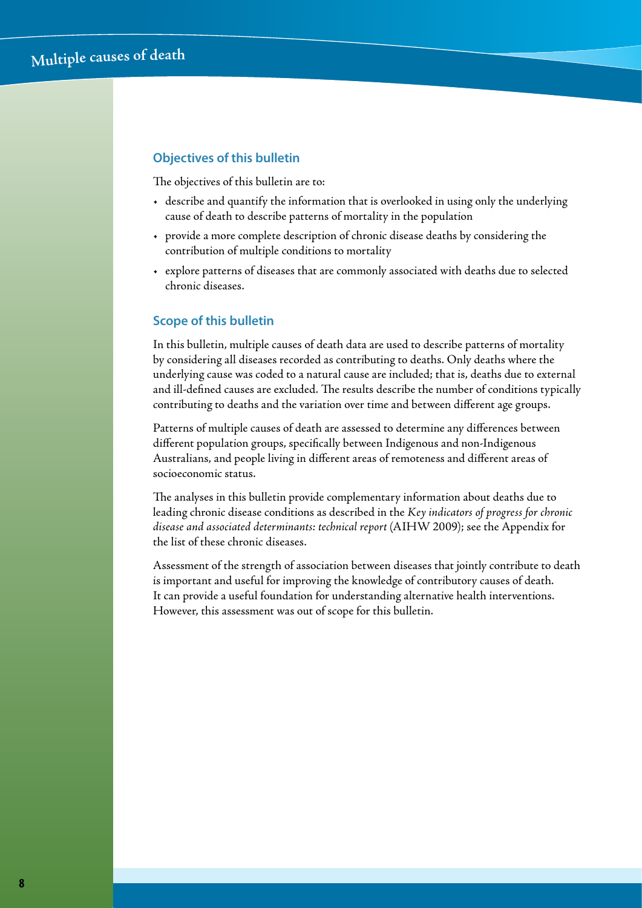#### **Objectives of this bulletin**

The objectives of this bulletin are to:

- • describe and quantify the information that is overlooked in using only the underlying cause of death to describe patterns of mortality in the population
- • provide a more complete description of chronic disease deaths by considering the contribution of multiple conditions to mortality
- • explore patterns of diseases that are commonly associated with deaths due to selected chronic diseases.

#### **Scope of this bulletin**

In this bulletin, multiple causes of death data are used to describe patterns of mortality by considering all diseases recorded as contributing to deaths. Only deaths where the underlying cause was coded to a natural cause are included; that is, deaths due to external and ill-defined causes are excluded. The results describe the number of conditions typically contributing to deaths and the variation over time and between different age groups.

Patterns of multiple causes of death are assessed to determine any differences between different population groups, specifically between Indigenous and non-Indigenous Australians, and people living in different areas of remoteness and different areas of socioeconomic status.

The analyses in this bulletin provide complementary information about deaths due to leading chronic disease conditions as described in the *Key indicators of progress for chronic disease and associated determinants: technical report* (AIHW 2009); see the Appendix for the list of these chronic diseases.

Assessment of the strength of association between diseases that jointly contribute to death is important and useful for improving the knowledge of contributory causes of death. It can provide a useful foundation for understanding alternative health interventions. However, this assessment was out of scope for this bulletin.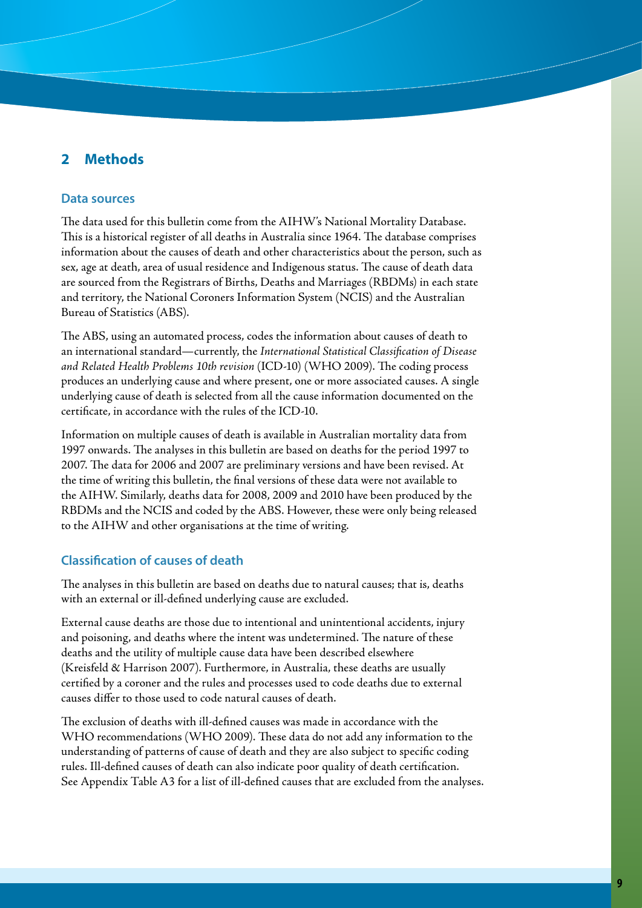## **2 Methods**

#### **Data sources**

The data used for this bulletin come from the AIHW's National Mortality Database. This is a historical register of all deaths in Australia since 1964. The database comprises information about the causes of death and other characteristics about the person, such as sex, age at death, area of usual residence and Indigenous status. The cause of death data are sourced from the Registrars of Births, Deaths and Marriages (RBDMs) in each state and territory, the National Coroners Information System (NCIS) and the Australian Bureau of Statistics (ABS).

The ABS, using an automated process, codes the information about causes of death to an international standard—currently, the *International Statistical Classification of Disease and Related Health Problems 10th revision* (ICD-10) (WHO 2009). The coding process produces an underlying cause and where present, one or more associated causes. A single underlying cause of death is selected from all the cause information documented on the certificate, in accordance with the rules of the ICD-10.

Information on multiple causes of death is available in Australian mortality data from 1997 onwards. The analyses in this bulletin are based on deaths for the period 1997 to 2007. The data for 2006 and 2007 are preliminary versions and have been revised. At the time of writing this bulletin, the final versions of these data were not available to the AIHW. Similarly, deaths data for 2008, 2009 and 2010 have been produced by the RBDMs and the NCIS and coded by the ABS. However, these were only being released to the AIHW and other organisations at the time of writing.

#### **Classification of causes of death**

The analyses in this bulletin are based on deaths due to natural causes; that is, deaths with an external or ill-defined underlying cause are excluded.

External cause deaths are those due to intentional and unintentional accidents, injury and poisoning, and deaths where the intent was undetermined. The nature of these deaths and the utility of multiple cause data have been described elsewhere (Kreisfeld & Harrison 2007). Furthermore, in Australia, these deaths are usually certified by a coroner and the rules and processes used to code deaths due to external causes differ to those used to code natural causes of death.

The exclusion of deaths with ill-defined causes was made in accordance with the WHO recommendations (WHO 2009). These data do not add any information to the understanding of patterns of cause of death and they are also subject to specific coding rules. Ill-defined causes of death can also indicate poor quality of death certification. See Appendix Table A3 for a list of ill-defined causes that are excluded from the analyses.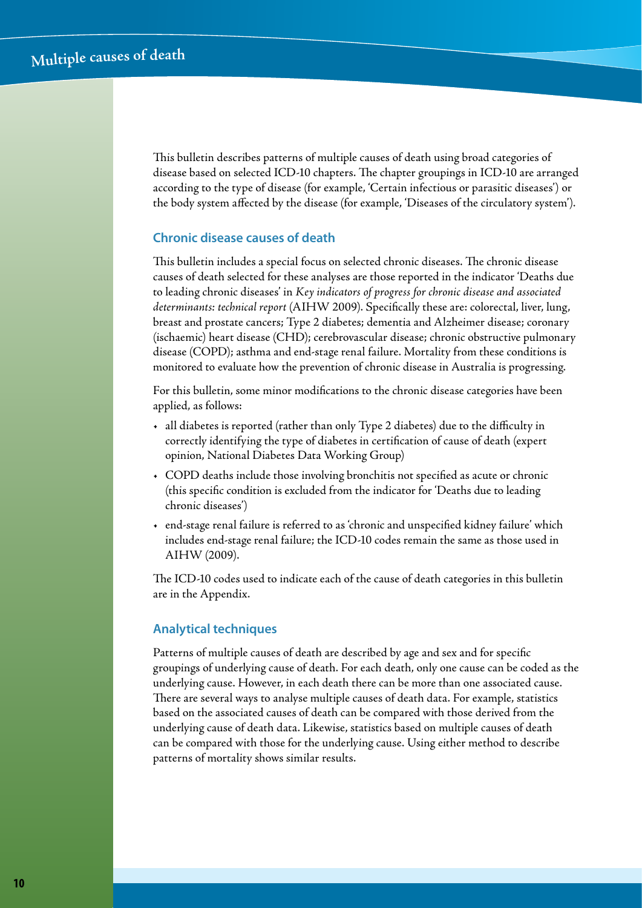This bulletin describes patterns of multiple causes of death using broad categories of disease based on selected ICD-10 chapters. The chapter groupings in ICD-10 are arranged according to the type of disease (for example, 'Certain infectious or parasitic diseases') or the body system affected by the disease (for example, 'Diseases of the circulatory system').

#### **Chronic disease causes of death**

This bulletin includes a special focus on selected chronic diseases. The chronic disease causes of death selected for these analyses are those reported in the indicator 'Deaths due to leading chronic diseases' in *Key indicators of progress for chronic disease and associated determinants: technical report* (AIHW 2009). Specifically these are: colorectal, liver, lung, breast and prostate cancers; Type 2 diabetes; dementia and Alzheimer disease; coronary (ischaemic) heart disease (CHD); cerebrovascular disease; chronic obstructive pulmonary disease (COPD); asthma and end-stage renal failure. Mortality from these conditions is monitored to evaluate how the prevention of chronic disease in Australia is progressing.

For this bulletin, some minor modifications to the chronic disease categories have been applied, as follows:

- • all diabetes is reported (rather than only Type 2 diabetes) due to the difficulty in correctly identifying the type of diabetes in certification of cause of death (expert opinion, National Diabetes Data Working Group)
- • COPD deaths include those involving bronchitis not specified as acute or chronic (this specific condition is excluded from the indicator for 'Deaths due to leading chronic diseases')
- • end-stage renal failure is referred to as 'chronic and unspecified kidney failure' which includes end-stage renal failure; the ICD-10 codes remain the same as those used in AIHW (2009).

The ICD-10 codes used to indicate each of the cause of death categories in this bulletin are in the Appendix.

#### **Analytical techniques**

Patterns of multiple causes of death are described by age and sex and for specific groupings of underlying cause of death. For each death, only one cause can be coded as the underlying cause. However, in each death there can be more than one associated cause. There are several ways to analyse multiple causes of death data. For example, statistics based on the associated causes of death can be compared with those derived from the underlying cause of death data. Likewise, statistics based on multiple causes of death can be compared with those for the underlying cause. Using either method to describe patterns of mortality shows similar results.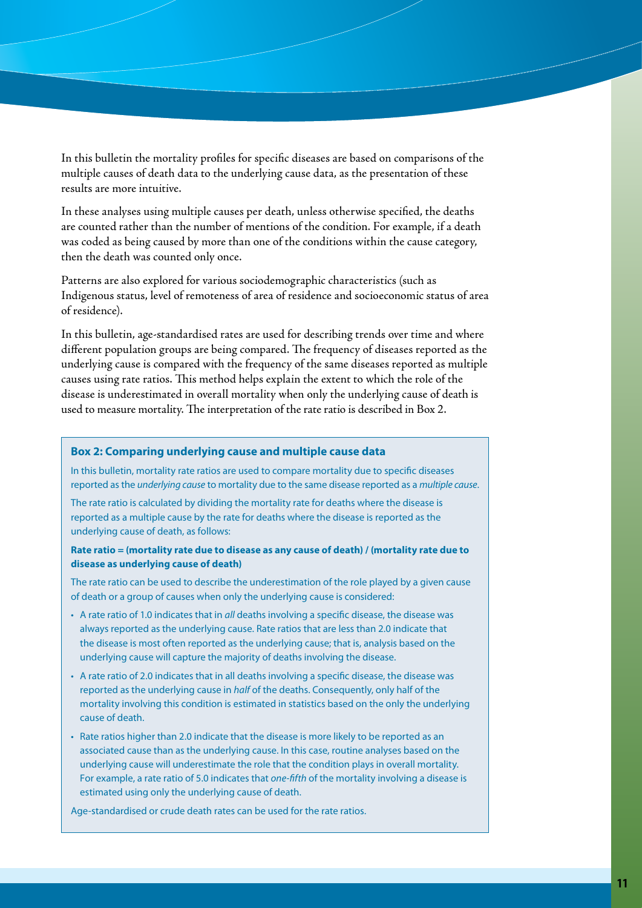In this bulletin the mortality profiles for specific diseases are based on comparisons of the multiple causes of death data to the underlying cause data, as the presentation of these results are more intuitive.

In these analyses using multiple causes per death, unless otherwise specified, the deaths are counted rather than the number of mentions of the condition. For example, if a death was coded as being caused by more than one of the conditions within the cause category, then the death was counted only once.

Patterns are also explored for various sociodemographic characteristics (such as Indigenous status, level of remoteness of area of residence and socioeconomic status of area of residence).

In this bulletin, age-standardised rates are used for describing trends over time and where different population groups are being compared. The frequency of diseases reported as the underlying cause is compared with the frequency of the same diseases reported as multiple causes using rate ratios. This method helps explain the extent to which the role of the disease is underestimated in overall mortality when only the underlying cause of death is used to measure mortality. The interpretation of the rate ratio is described in Box 2.

#### **Box 2: Comparing underlying cause and multiple cause data**

In this bulletin, mortality rate ratios are used to compare mortality due to specific diseases reported as the *underlying cause* to mortality due to the same disease reported as a *multiple cause*.

The rate ratio is calculated by dividing the mortality rate for deaths where the disease is reported as a multiple cause by the rate for deaths where the disease is reported as the underlying cause of death, as follows:

#### **Rate ratio = (mortality rate due to disease as any cause of death) / (mortality rate due to disease as underlying cause of death)**

The rate ratio can be used to describe the underestimation of the role played by a given cause of death or a group of causes when only the underlying cause is considered:

- • A rate ratio of 1.0 indicates that in *all* deaths involving a specific disease, the disease was always reported as the underlying cause. Rate ratios that are less than 2.0 indicate that the disease is most often reported as the underlying cause; that is, analysis based on the underlying cause will capture the majority of deaths involving the disease.
- A rate ratio of 2.0 indicates that in all deaths involving a specific disease, the disease was reported as the underlying cause in *half* of the deaths. Consequently, only half of the mortality involving this condition is estimated in statistics based on the only the underlying cause of death.
- Rate ratios higher than 2.0 indicate that the disease is more likely to be reported as an associated cause than as the underlying cause. In this case, routine analyses based on the underlying cause will underestimate the role that the condition plays in overall mortality. For example, a rate ratio of 5.0 indicates that *one-fifth* of the mortality involving a disease is estimated using only the underlying cause of death.

Age-standardised or crude death rates can be used for the rate ratios.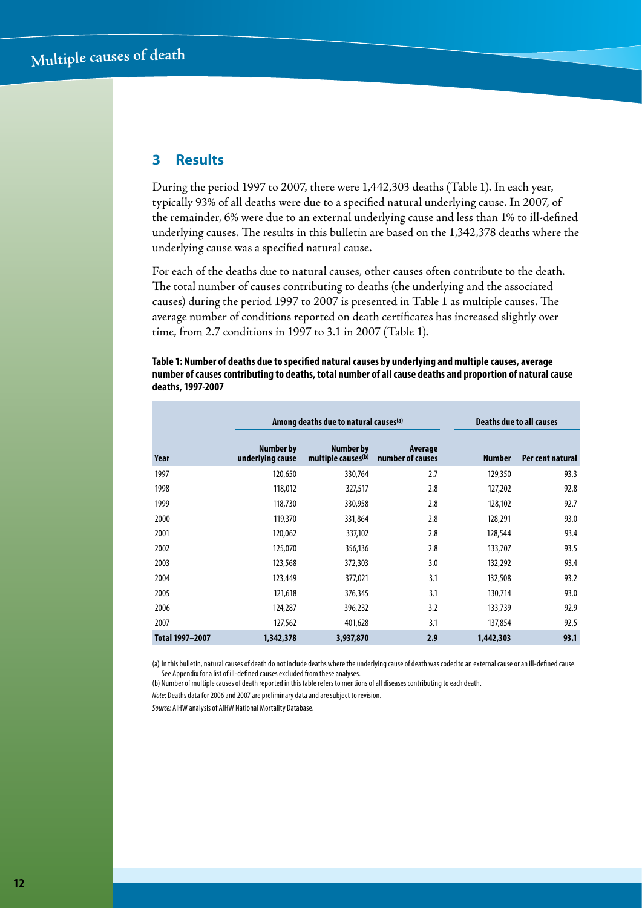## **3 Results**

During the period 1997 to 2007, there were 1,442,303 deaths (Table 1). In each year, typically 93% of all deaths were due to a specified natural underlying cause. In 2007, of the remainder, 6% were due to an external underlying cause and less than 1% to ill-defined underlying causes. The results in this bulletin are based on the 1,342,378 deaths where the underlying cause was a specified natural cause.

For each of the deaths due to natural causes, other causes often contribute to the death. The total number of causes contributing to deaths (the underlying and the associated causes) during the period 1997 to 2007 is presented in Table 1 as multiple causes. The average number of conditions reported on death certificates has increased slightly over time, from 2.7 conditions in 1997 to 3.1 in 2007 (Table 1).

|                 |                               | Among deaths due to natural causes <sup>(a)</sup> |                             | <b>Deaths due to all causes</b> |                  |
|-----------------|-------------------------------|---------------------------------------------------|-----------------------------|---------------------------------|------------------|
| Year            | Number by<br>underlying cause | Number by<br>multiple causes <sup>(b)</sup>       | Average<br>number of causes | <b>Number</b>                   | Per cent natural |
| 1997            | 120,650                       | 330,764                                           | 2.7                         | 129,350                         | 93.3             |
| 1998            | 118,012                       | 327,517                                           | 2.8                         | 127,202                         | 92.8             |
| 1999            | 118,730                       | 330,958                                           | 2.8                         | 128,102                         | 92.7             |
| 2000            | 119,370                       | 331,864                                           | 2.8                         | 128,291                         | 93.0             |
| 2001            | 120,062                       | 337,102                                           | 2.8                         | 128,544                         | 93.4             |
| 2002            | 125,070                       | 356,136                                           | 2.8                         | 133,707                         | 93.5             |
| 2003            | 123,568                       | 372,303                                           | 3.0                         | 132,292                         | 93.4             |
| 2004            | 123,449                       | 377,021                                           | 3.1                         | 132,508                         | 93.2             |
| 2005            | 121,618                       | 376,345                                           | 3.1                         | 130,714                         | 93.0             |
| 2006            | 124,287                       | 396,232                                           | 3.2                         | 133,739                         | 92.9             |
| 2007            | 127,562                       | 401,628                                           | 3.1                         | 137,854                         | 92.5             |
| Total 1997-2007 | 1,342,378                     | 3,937,870                                         | 2.9                         | 1,442,303                       | 93.1             |

**Table 1: Number of deaths due to specified natural causes by underlying and multiple causes, average number of causes contributing to deaths, total number of all cause deaths and proportion of natural cause deaths, 1997-2007**

(a) In this bulletin, natural causes of death do not include deaths where the underlying cause of death was coded to an external cause or an ill-defined cause. See Appendix for a list of ill-defined causes excluded from these analyses.

(b) Number of multiple causes of death reported in this table refers to mentions of all diseases contributing to each death.

*Note*: Deaths data for 2006 and 2007 are preliminary data and are subject to revision.

*Source:* AIHW analysis of AIHW National Mortality Database.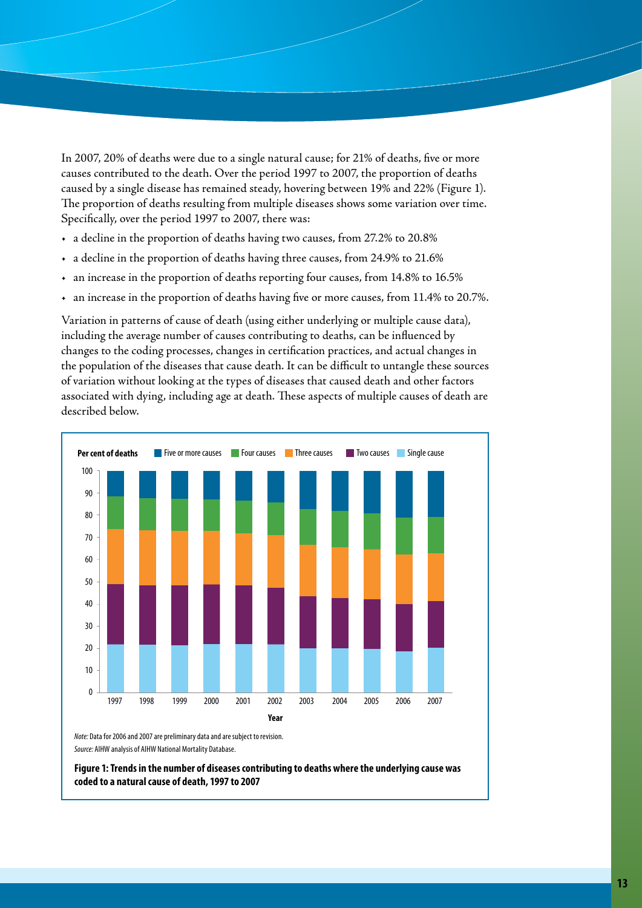In 2007, 20% of deaths were due to a single natural cause; for 21% of deaths, five or more causes contributed to the death. Over the period 1997 to 2007, the proportion of deaths caused by a single disease has remained steady, hovering between 19% and 22% (Figure 1). The proportion of deaths resulting from multiple diseases shows some variation over time. Specifically, over the period 1997 to 2007, there was:

- • a decline in the proportion of deaths having two causes, from 27.2% to 20.8%
- • a decline in the proportion of deaths having three causes, from 24.9% to 21.6%
- • an increase in the proportion of deaths reporting four causes, from 14.8% to 16.5%
- • an increase in the proportion of deaths having five or more causes, from 11.4% to 20.7%.

Variation in patterns of cause of death (using either underlying or multiple cause data), including the average number of causes contributing to deaths, can be influenced by changes to the coding processes, changes in certification practices, and actual changes in the population of the diseases that cause death. It can be difficult to untangle these sources of variation without looking at the types of diseases that caused death and other factors associated with dying, including age at death. These aspects of multiple causes of death are described below.



*Note:* Data for 2006 and 2007 are preliminary data and are subject to revision. *Source:* AIHW analysis of AIHW National Mortality Database.

**Figure 1: Trends in the number of diseases contributing to deaths where the underlying cause was coded to a natural cause of death, 1997 to 2007**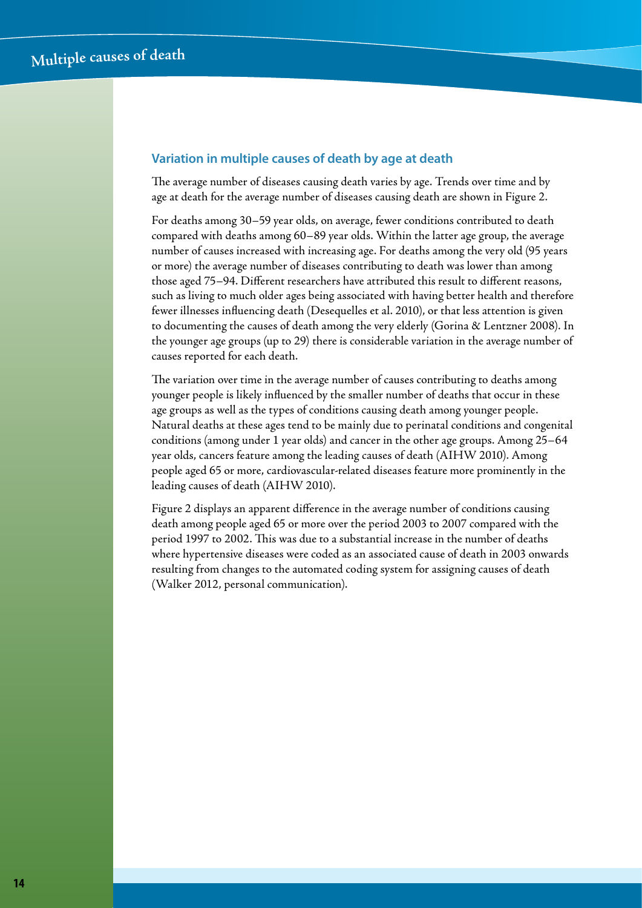#### **Variation in multiple causes of death by age at death**

The average number of diseases causing death varies by age. Trends over time and by age at death for the average number of diseases causing death are shown in Figure 2.

For deaths among 30–59 year olds, on average, fewer conditions contributed to death compared with deaths among 60–89 year olds. Within the latter age group, the average number of causes increased with increasing age. For deaths among the very old (95 years or more) the average number of diseases contributing to death was lower than among those aged 75–94. Different researchers have attributed this result to different reasons, such as living to much older ages being associated with having better health and therefore fewer illnesses influencing death (Desequelles et al. 2010), or that less attention is given to documenting the causes of death among the very elderly (Gorina & Lentzner 2008). In the younger age groups (up to 29) there is considerable variation in the average number of causes reported for each death.

The variation over time in the average number of causes contributing to deaths among younger people is likely influenced by the smaller number of deaths that occur in these age groups as well as the types of conditions causing death among younger people. Natural deaths at these ages tend to be mainly due to perinatal conditions and congenital conditions (among under 1 year olds) and cancer in the other age groups. Among 25–64 year olds, cancers feature among the leading causes of death (AIHW 2010). Among people aged 65 or more, cardiovascular-related diseases feature more prominently in the leading causes of death (AIHW 2010).

Figure 2 displays an apparent difference in the average number of conditions causing death among people aged 65 or more over the period 2003 to 2007 compared with the period 1997 to 2002. This was due to a substantial increase in the number of deaths where hypertensive diseases were coded as an associated cause of death in 2003 onwards resulting from changes to the automated coding system for assigning causes of death (Walker 2012, personal communication).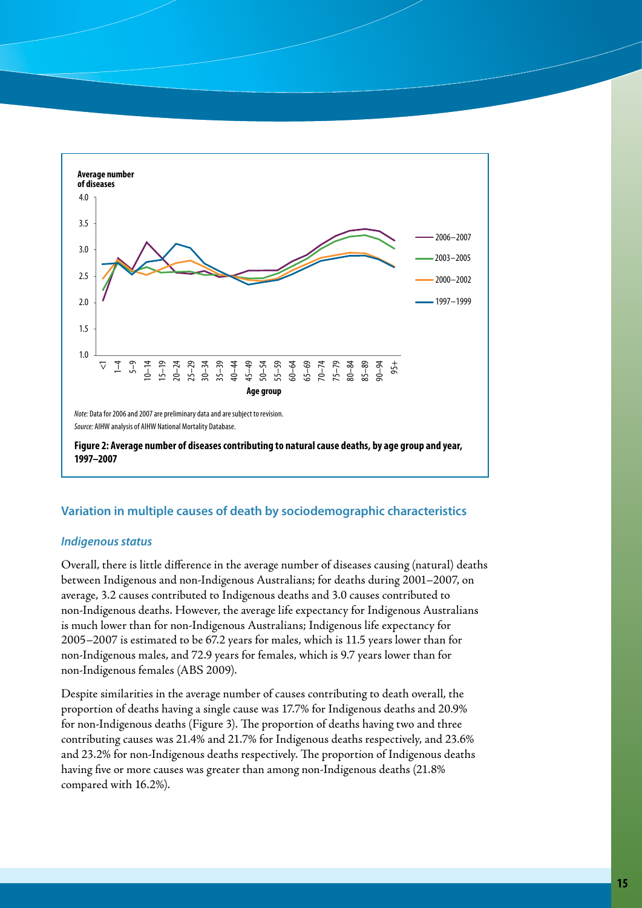

#### **Variation in multiple causes of death by sociodemographic characteristics**

#### *Indigenous status*

Overall, there is little difference in the average number of diseases causing (natural) deaths between Indigenous and non-Indigenous Australians; for deaths during 2001–2007, on average, 3.2 causes contributed to Indigenous deaths and 3.0 causes contributed to non-Indigenous deaths. However, the average life expectancy for Indigenous Australians is much lower than for non-Indigenous Australians; Indigenous life expectancy for 2005–2007 is estimated to be 67.2 years for males, which is 11.5 years lower than for non-Indigenous males, and 72.9 years for females, which is 9.7 years lower than for non-Indigenous females (ABS 2009).

Despite similarities in the average number of causes contributing to death overall, the proportion of deaths having a single cause was 17.7% for Indigenous deaths and 20.9% for non-Indigenous deaths (Figure 3). The proportion of deaths having two and three contributing causes was 21.4% and 21.7% for Indigenous deaths respectively, and 23.6% and 23.2% for non-Indigenous deaths respectively. The proportion of Indigenous deaths having five or more causes was greater than among non-Indigenous deaths (21.8% compared with 16.2%).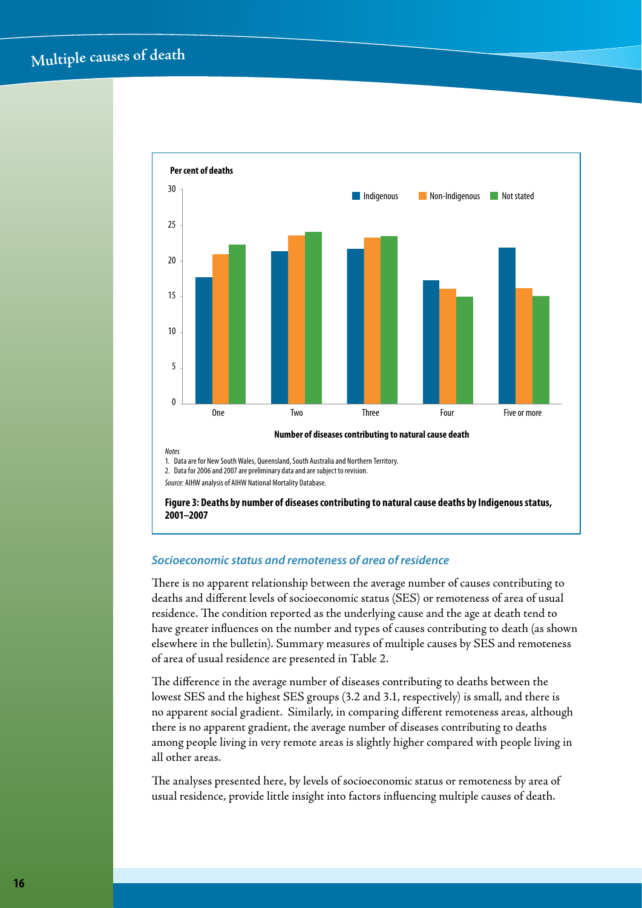

#### *Socioeconomic status and remoteness of area of residence*

There is no apparent relationship between the average number of causes contributing to deaths and different levels of socioeconomic status (SES) or remoteness of area of usual residence. The condition reported as the underlying cause and the age at death tend to have greater influences on the number and types of causes contributing to death (as shown elsewhere in the bulletin). Summary measures of multiple causes by SES and remoteness of area of usual residence are presented in Table 2.

The difference in the average number of diseases contributing to deaths between the lowest SES and the highest SES groups (3.2 and 3.1, respectively) is small, and there is no apparent social gradient. Similarly, in comparing different remoteness areas, although there is no apparent gradient, the average number of diseases contributing to deaths among people living in very remote areas is slightly higher compared with people living in all other areas.

The analyses presented here, by levels of socioeconomic status or remoteness by area of usual residence, provide little insight into factors influencing multiple causes of death.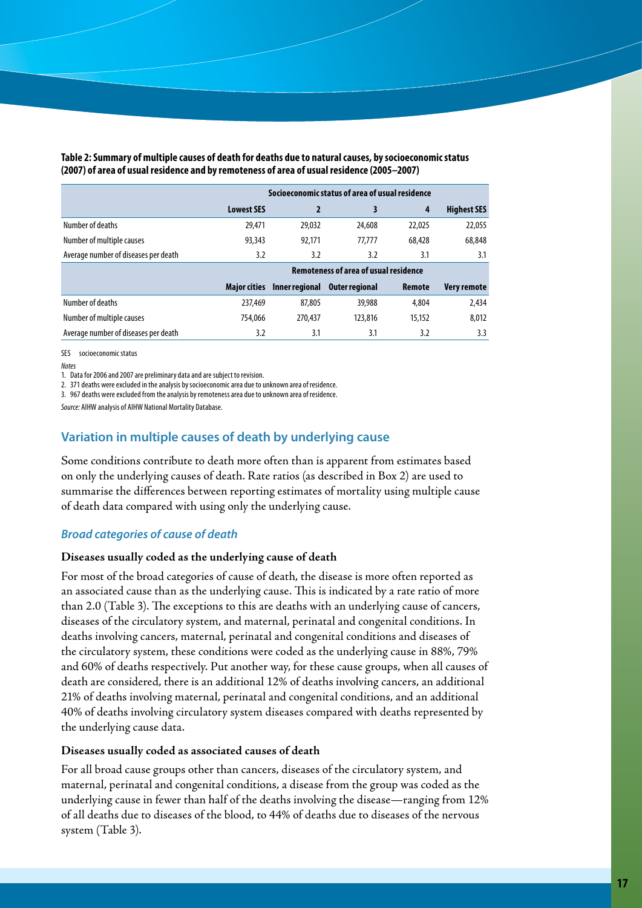|                                      | Socioeconomic status of area of usual residence |                                              |                       |        |                    |  |  |
|--------------------------------------|-------------------------------------------------|----------------------------------------------|-----------------------|--------|--------------------|--|--|
|                                      | <b>Lowest SES</b>                               | 2                                            | 3                     | 4      | <b>Highest SES</b> |  |  |
| Number of deaths                     | 29,471                                          | 29,032                                       | 24,608                | 22,025 | 22,055             |  |  |
| Number of multiple causes            | 93,343                                          | 92.171                                       | 77.777                | 68,428 | 68,848             |  |  |
| Average number of diseases per death | 3.2                                             | 3.2                                          | 3.2                   | 3.1    | 3.1                |  |  |
|                                      |                                                 | <b>Remoteness of area of usual residence</b> |                       |        |                    |  |  |
|                                      | <b>Maior cities</b>                             | Inner regional                               | <b>Outer regional</b> | Remote | <b>Very remote</b> |  |  |
| Number of deaths                     | 237,469                                         | 87,805                                       | 39,988                | 4,804  | 2,434              |  |  |
| Number of multiple causes            | 754.066                                         | 270,437                                      | 123,816               | 15,152 | 8,012              |  |  |
| Average number of diseases per death | 3.2                                             | 3.1                                          | 3.1                   | 3.2    | 3.3                |  |  |

**Table 2: Summary of multiple causes of death for deaths due to natural causes, by socioeconomic status (2007) of area of usual residence and by remoteness of area of usual residence (2005–2007)**

SES socioeconomic status

*Notes*

1. Data for 2006 and 2007 are preliminary data and are subject to revision.

2. 371 deaths were excluded in the analysis by socioeconomic area due to unknown area of residence. 3. 967 deaths were excluded from the analysis by remoteness area due to unknown area of residence.

*Source:* AIHW analysis of AIHW National Mortality Database.

#### **Variation in multiple causes of death by underlying cause**

Some conditions contribute to death more often than is apparent from estimates based on only the underlying causes of death. Rate ratios (as described in Box 2) are used to summarise the differences between reporting estimates of mortality using multiple cause of death data compared with using only the underlying cause.

#### *Broad categories of cause of death*

#### **Diseases usually coded as the underlying cause of death**

For most of the broad categories of cause of death, the disease is more often reported as an associated cause than as the underlying cause. This is indicated by a rate ratio of more than 2.0 (Table 3). The exceptions to this are deaths with an underlying cause of cancers, diseases of the circulatory system, and maternal, perinatal and congenital conditions. In deaths involving cancers, maternal, perinatal and congenital conditions and diseases of the circulatory system, these conditions were coded as the underlying cause in 88%, 79% and 60% of deaths respectively. Put another way, for these cause groups, when all causes of death are considered, there is an additional 12% of deaths involving cancers, an additional 21% of deaths involving maternal, perinatal and congenital conditions, and an additional 40% of deaths involving circulatory system diseases compared with deaths represented by the underlying cause data.

#### **Diseases usually coded as associated causes of death**

For all broad cause groups other than cancers, diseases of the circulatory system, and maternal, perinatal and congenital conditions, a disease from the group was coded as the underlying cause in fewer than half of the deaths involving the disease—ranging from 12% of all deaths due to diseases of the blood, to 44% of deaths due to diseases of the nervous system (Table 3).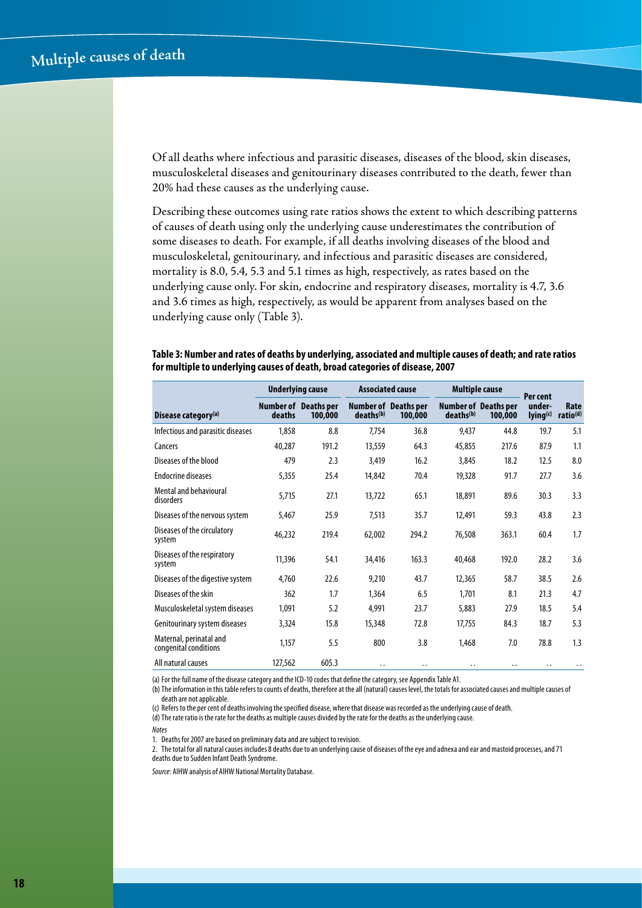Of all deaths where infectious and parasitic diseases, diseases of the blood, skin diseases, musculoskeletal diseases and genitourinary diseases contributed to the death, fewer than 20% had these causes as the underlying cause.

Describing these outcomes using rate ratios shows the extent to which describing patterns of causes of death using only the underlying cause underestimates the contribution of some diseases to death. For example, if all deaths involving diseases of the blood and musculoskeletal, genitourinary, and infectious and parasitic diseases are considered, mortality is 8.0, 5.4, 5.3 and 5.1 times as high, respectively, as rates based on the underlying cause only. For skin, endocrine and respiratory diseases, mortality is 4.7, 3.6 and 3.6 times as high, respectively, as would be apparent from analyses based on the underlying cause only (Table 3).

#### **Table 3: Number and rates of deaths by underlying, associated and multiple causes of death; and rate ratios for multiple to underlying causes of death, broad categories of disease, 2007**

|                                                  | <b>Underlying cause</b> |                                        |                       | <b>Associated cause</b>                |                       | <b>Multiple cause</b>                  | Per cent           |                              |
|--------------------------------------------------|-------------------------|----------------------------------------|-----------------------|----------------------------------------|-----------------------|----------------------------------------|--------------------|------------------------------|
| Disease category <sup>(a)</sup>                  | deaths                  | <b>Number of Deaths per</b><br>100,000 | deaths <sup>(b)</sup> | <b>Number of Deaths per</b><br>100,000 | deaths <sup>(b)</sup> | <b>Number of Deaths per</b><br>100,000 | under-<br>lying(c) | Rate<br>ratio <sup>(d)</sup> |
| Infectious and parasitic diseases                | 1,858                   | 8.8                                    | 7,754                 | 36.8                                   | 9,437                 | 44.8                                   | 19.7               | 5.1                          |
| Cancers                                          | 40,287                  | 191.2                                  | 13,559                | 64.3                                   | 45,855                | 217.6                                  | 87.9               | 1.1                          |
| Diseases of the blood                            | 479                     | 2.3                                    | 3,419                 | 16.2                                   | 3,845                 | 18.2                                   | 12.5               | 8.0                          |
| <b>Endocrine diseases</b>                        | 5,355                   | 25.4                                   | 14,842                | 70.4                                   | 19,328                | 91.7                                   | 27.7               | 3.6                          |
| Mental and behavioural<br>disorders              | 5,715                   | 27.1                                   | 13,722                | 65.1                                   | 18,891                | 89.6                                   | 30.3               | 3.3                          |
| Diseases of the nervous system                   | 5,467                   | 25.9                                   | 7,513                 | 35.7                                   | 12,491                | 59.3                                   | 43.8               | 2.3                          |
| Diseases of the circulatory<br>system            | 46,232                  | 219.4                                  | 62,002                | 294.2                                  | 76,508                | 363.1                                  | 60.4               | 1.7                          |
| Diseases of the respiratory<br>system            | 11,396                  | 54.1                                   | 34,416                | 163.3                                  | 40,468                | 192.0                                  | 28.2               | 3.6                          |
| Diseases of the digestive system                 | 4,760                   | 22.6                                   | 9,210                 | 43.7                                   | 12,365                | 58.7                                   | 38.5               | 2.6                          |
| Diseases of the skin                             | 362                     | 1.7                                    | 1,364                 | 6.5                                    | 1,701                 | 8.1                                    | 21.3               | 4.7                          |
| Musculoskeletal system diseases                  | 1,091                   | 5.2                                    | 4,991                 | 23.7                                   | 5,883                 | 27.9                                   | 18.5               | 5.4                          |
| Genitourinary system diseases                    | 3,324                   | 15.8                                   | 15,348                | 72.8                                   | 17,755                | 84.3                                   | 18.7               | 5.3                          |
| Maternal, perinatal and<br>congenital conditions | 1,157                   | 5.5                                    | 800                   | 3.8                                    | 1,468                 | 7.0                                    | 78.8               | 1.3                          |
| All natural causes                               | 127,562                 | 605.3                                  | $\ddot{\phantom{0}}$  | . .                                    | $\ddot{\phantom{0}}$  | . .                                    | . .                | $\cdot$ .                    |

(a) For the full name of the disease category and the ICD-10 codes that define the category, see Appendix Table A1.

(b) The information in this table refers to counts of deaths, therefore at the all (natural) causes level, the totals for associated causes and multiple causes of death are not applicable.

(c) Refers to the per cent of deaths involving the specified disease, where that disease was recorded as the underlying cause of death.

(d)The rate ratio is the rate for the deaths as multiple causes divided by the rate for the deaths as the underlying cause.

*Notes*

1. Deaths for 2007 are based on preliminary data and are subject to revision.

2. The total for all natural causes includes 8 deaths due to an underlying cause of diseases of the eye and adnexa and ear and mastoid processes, and 71 deaths due to Sudden Infant Death Syndrome.

*Source*: AIHW analysis of AIHW National Mortality Database.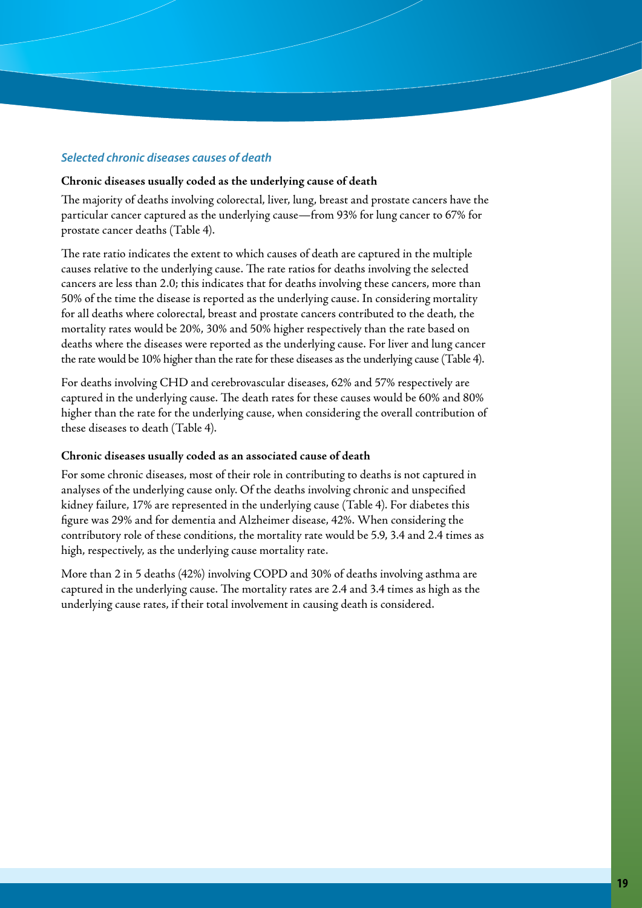#### *Selected chronic diseases causes of death*

#### **Chronic diseases usually coded as the underlying cause of death**

The majority of deaths involving colorectal, liver, lung, breast and prostate cancers have the particular cancer captured as the underlying cause—from 93% for lung cancer to 67% for prostate cancer deaths (Table 4).

The rate ratio indicates the extent to which causes of death are captured in the multiple causes relative to the underlying cause. The rate ratios for deaths involving the selected cancers are less than 2.0; this indicates that for deaths involving these cancers, more than 50% of the time the disease is reported as the underlying cause. In considering mortality for all deaths where colorectal, breast and prostate cancers contributed to the death, the mortality rates would be 20%, 30% and 50% higher respectively than the rate based on deaths where the diseases were reported as the underlying cause. For liver and lung cancer the rate would be 10% higher than the rate for these diseases as the underlying cause (Table 4).

For deaths involving CHD and cerebrovascular diseases, 62% and 57% respectively are captured in the underlying cause. The death rates for these causes would be 60% and 80% higher than the rate for the underlying cause, when considering the overall contribution of these diseases to death (Table 4).

#### **Chronic diseases usually coded as an associated cause of death**

For some chronic diseases, most of their role in contributing to deaths is not captured in analyses of the underlying cause only. Of the deaths involving chronic and unspecified kidney failure, 17% are represented in the underlying cause (Table 4). For diabetes this figure was 29% and for dementia and Alzheimer disease, 42%. When considering the contributory role of these conditions, the mortality rate would be 5.9, 3.4 and 2.4 times as high, respectively, as the underlying cause mortality rate.

More than 2 in 5 deaths (42%) involving COPD and 30% of deaths involving asthma are captured in the underlying cause. The mortality rates are 2.4 and 3.4 times as high as the underlying cause rates, if their total involvement in causing death is considered.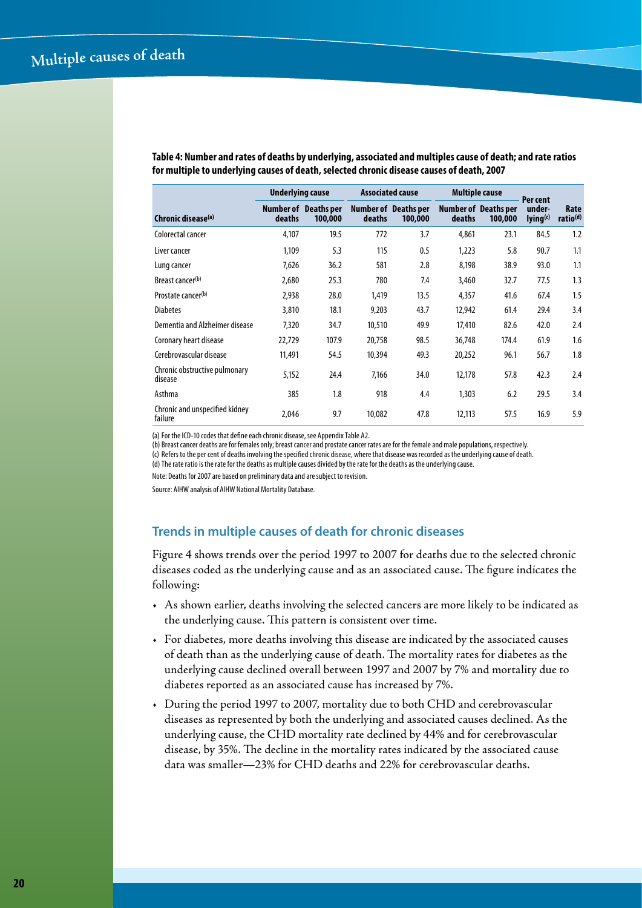| <b>Underlying cause</b>                   |        |                                        | <b>Associated cause</b> | <b>Multiple cause</b>                  |        | Per cent                               |                                |                              |
|-------------------------------------------|--------|----------------------------------------|-------------------------|----------------------------------------|--------|----------------------------------------|--------------------------------|------------------------------|
| Chronic disease <sup>(a)</sup>            | deaths | <b>Number of</b> Deaths per<br>100,000 | deaths                  | <b>Number of Deaths per</b><br>100,000 | deaths | <b>Number of Deaths per</b><br>100,000 | under-<br>lying <sup>(c)</sup> | Rate<br>ratio <sup>(d)</sup> |
| Colorectal cancer                         | 4,107  | 19.5                                   | 772                     | 3.7                                    | 4,861  | 23.1                                   | 84.5                           | 1.2                          |
| Liver cancer                              | 1.109  | 5.3                                    | 115                     | 0.5                                    | 1.223  | 5.8                                    | 90.7                           | 1.1                          |
| Lung cancer                               | 7,626  | 36.2                                   | 581                     | 2.8                                    | 8,198  | 38.9                                   | 93.0                           | 1.1                          |
| Breast cancer(b)                          | 2,680  | 25.3                                   | 780                     | 7.4                                    | 3,460  | 32.7                                   | 77.5                           | 1.3                          |
| Prostate cancer(b)                        | 2,938  | 28.0                                   | 1,419                   | 13.5                                   | 4,357  | 41.6                                   | 67.4                           | 1.5                          |
| <b>Diabetes</b>                           | 3,810  | 18.1                                   | 9,203                   | 43.7                                   | 12.942 | 61.4                                   | 29.4                           | 3.4                          |
| Dementia and Alzheimer disease            | 7,320  | 34.7                                   | 10,510                  | 49.9                                   | 17,410 | 82.6                                   | 42.0                           | 2.4                          |
| Coronary heart disease                    | 22,729 | 107.9                                  | 20,758                  | 98.5                                   | 36,748 | 174.4                                  | 61.9                           | 1.6                          |
| Cerebrovascular disease                   | 11,491 | 54.5                                   | 10,394                  | 49.3                                   | 20,252 | 96.1                                   | 56.7                           | 1.8                          |
| Chronic obstructive pulmonary<br>disease  | 5.152  | 24.4                                   | 7,166                   | 34.0                                   | 12,178 | 57.8                                   | 42.3                           | 2.4                          |
| Asthma                                    | 385    | 1.8                                    | 918                     | 4.4                                    | 1,303  | 6.2                                    | 29.5                           | 3.4                          |
| Chronic and unspecified kidney<br>failure | 2,046  | 9.7                                    | 10,082                  | 47.8                                   | 12,113 | 57.5                                   | 16.9                           | 5.9                          |

**Table 4: Number and rates of deaths by underlying, associated and multiples cause of death; and rate ratios for multiple to underlying causes of death, selected chronic disease causes of death, 2007**

(a) For the ICD-10 codes that define each chronic disease, see Appendix Table A2.

(b) Breast cancer deaths are for females only; breast cancer and prostate cancer rates are for the female and male populations, respectively.

(c) Refers to the per cent of deaths involving the specified chronic disease, where that disease was recorded as the underlying cause of death. (d)The rate ratio is the rate for the deaths as multiple causes divided by the rate for the deaths as the underlying cause.

Note: Deaths for 2007 are based on preliminary data and are subject to revision.

Source: AIHW analysis of AIHW National Mortality Database.

#### **Trends in multiple causes of death for chronic diseases**

Figure 4 shows trends over the period 1997 to 2007 for deaths due to the selected chronic diseases coded as the underlying cause and as an associated cause. The figure indicates the following:

- • As shown earlier, deaths involving the selected cancers are more likely to be indicated as the underlying cause. This pattern is consistent over time.
- • For diabetes, more deaths involving this disease are indicated by the associated causes of death than as the underlying cause of death. The mortality rates for diabetes as the underlying cause declined overall between 1997 and 2007 by 7% and mortality due to diabetes reported as an associated cause has increased by 7%.
- • During the period 1997 to 2007, mortality due to both CHD and cerebrovascular diseases as represented by both the underlying and associated causes declined. As the underlying cause, the CHD mortality rate declined by 44% and for cerebrovascular disease, by 35%. The decline in the mortality rates indicated by the associated cause data was smaller—23% for CHD deaths and 22% for cerebrovascular deaths.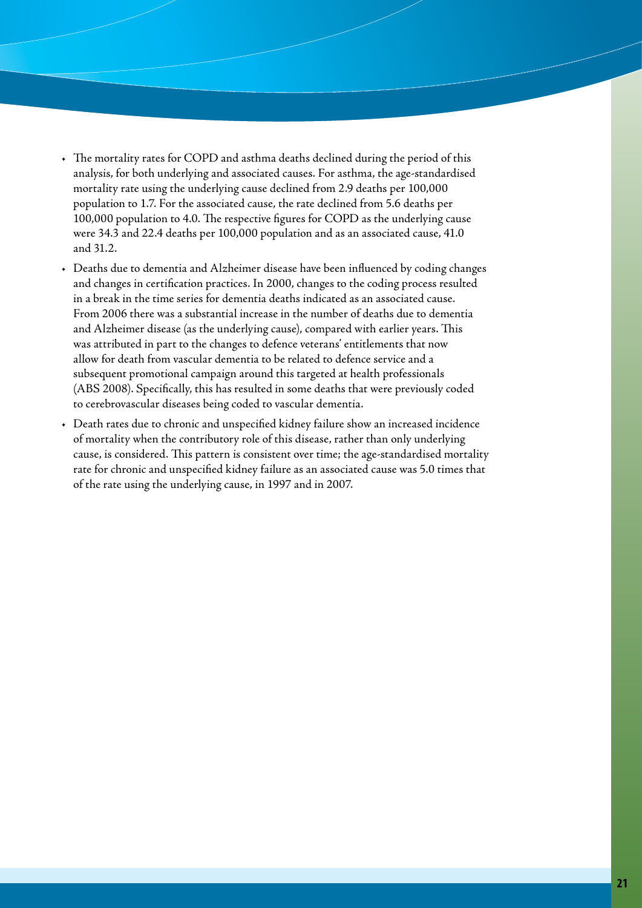- The mortality rates for COPD and asthma deaths declined during the period of this analysis, for both underlying and associated causes. For asthma, the age-standardised mortality rate using the underlying cause declined from 2.9 deaths per 100,000 population to 1.7. For the associated cause, the rate declined from 5.6 deaths per 100,000 population to 4.0. The respective figures for COPD as the underlying cause were 34.3 and 22.4 deaths per 100,000 population and as an associated cause, 41.0 and 31.2.
- Deaths due to dementia and Alzheimer disease have been influenced by coding changes and changes in certification practices. In 2000, changes to the coding process resulted in a break in the time series for dementia deaths indicated as an associated cause. From 2006 there was a substantial increase in the number of deaths due to dementia and Alzheimer disease (as the underlying cause), compared with earlier years. This was attributed in part to the changes to defence veterans' entitlements that now allow for death from vascular dementia to be related to defence service and a subsequent promotional campaign around this targeted at health professionals (ABS 2008). Specifically, this has resulted in some deaths that were previously coded to cerebrovascular diseases being coded to vascular dementia.
- Death rates due to chronic and unspecified kidney failure show an increased incidence of mortality when the contributory role of this disease, rather than only underlying cause, is considered. This pattern is consistent over time; the age-standardised mortality rate for chronic and unspecified kidney failure as an associated cause was 5.0 times that of the rate using the underlying cause, in 1997 and in 2007.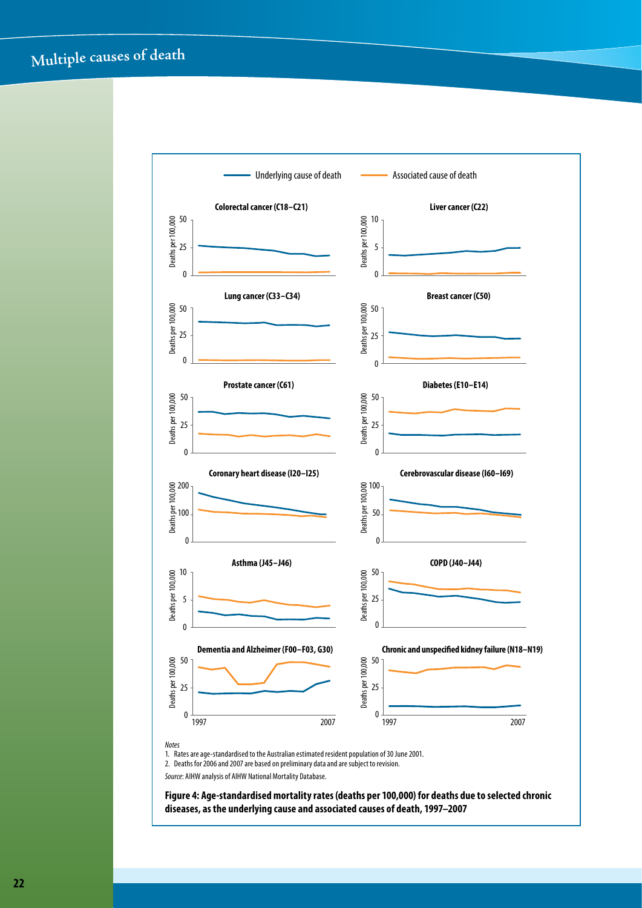## **<sup>M</sup>ultipl<sup>e</sup> <sup>c</sup>ause<sup>s</sup> <sup>o</sup><sup>f</sup> <sup>d</sup>ea<sup>t</sup><sup>h</sup>**



**diseases, as the underlying cause and associated causes of death, 1997–2007**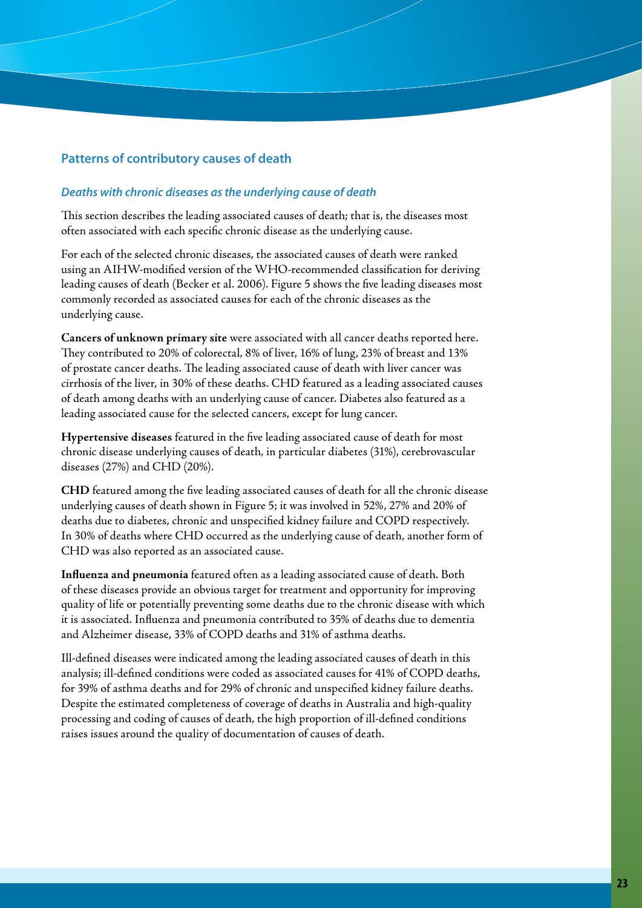#### **Patterns of contributory causes of death**

#### *Deaths with chronic diseases as the underlying cause of death*

This section describes the leading associated causes of death; that is, the diseases most often associated with each specific chronic disease as the underlying cause.

For each of the selected chronic diseases, the associated causes of death were ranked using an AIHW-modified version of the WHO-recommended classification for deriving leading causes of death (Becker et al. 2006). Figure 5 shows the five leading diseases most commonly recorded as associated causes for each of the chronic diseases as the underlying cause.

**Cancers of unknown primary site** were associated with all cancer deaths reported here. They contributed to 20% of colorectal, 8% of liver, 16% of lung, 23% of breast and 13% of prostate cancer deaths. The leading associated cause of death with liver cancer was cirrhosis of the liver, in 30% of these deaths. CHD featured as a leading associated causes of death among deaths with an underlying cause of cancer. Diabetes also featured as a leading associated cause for the selected cancers, except for lung cancer.

**Hypertensive diseases** featured in the five leading associated cause of death for most chronic disease underlying causes of death, in particular diabetes (31%), cerebrovascular diseases (27%) and CHD (20%).

**CHD** featured among the five leading associated causes of death for all the chronic disease underlying causes of death shown in Figure 5; it was involved in 52%, 27% and 20% of deaths due to diabetes, chronic and unspecified kidney failure and COPD respectively. In 30% of deaths where CHD occurred as the underlying cause of death, another form of CHD was also reported as an associated cause.

**Influenza and pneumonia** featured often as a leading associated cause of death. Both of these diseases provide an obvious target for treatment and opportunity for improving quality of life or potentially preventing some deaths due to the chronic disease with which it is associated. Influenza and pneumonia contributed to 35% of deaths due to dementia and Alzheimer disease, 33% of COPD deaths and 31% of asthma deaths.

Ill-defined diseases were indicated among the leading associated causes of death in this analysis; ill-defined conditions were coded as associated causes for 41% of COPD deaths, for 39% of asthma deaths and for 29% of chronic and unspecified kidney failure deaths. Despite the estimated completeness of coverage of deaths in Australia and high-quality processing and coding of causes of death, the high proportion of ill-defined conditions raises issues around the quality of documentation of causes of death.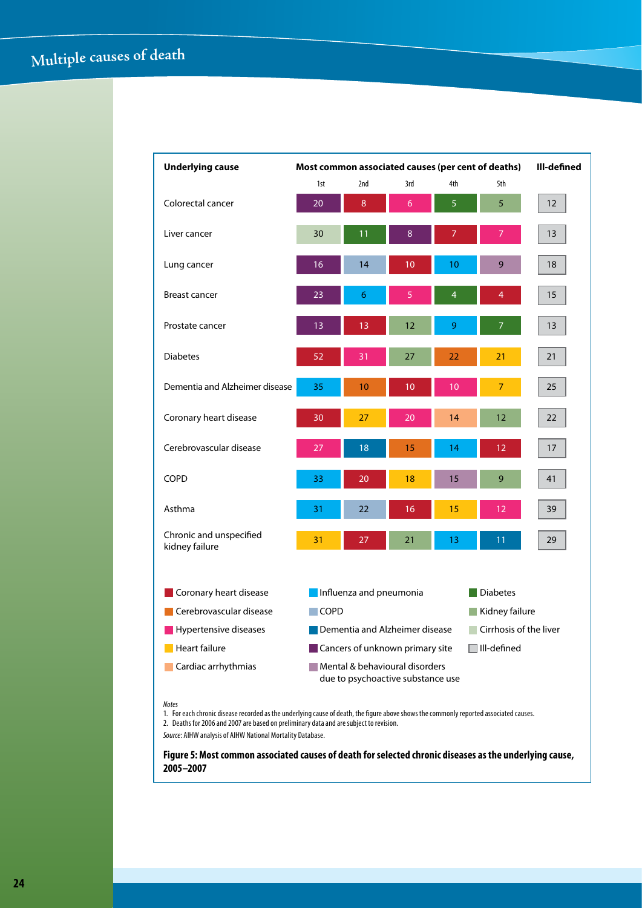| <b>Underlying cause</b>                   | Ill-defined<br>Most common associated causes (per cent of deaths) |     |                                                                     |                |                    |    |
|-------------------------------------------|-------------------------------------------------------------------|-----|---------------------------------------------------------------------|----------------|--------------------|----|
|                                           | 1st                                                               | 2nd | 3rd                                                                 | 4th            | 5th                |    |
| Colorectal cancer                         | 20                                                                | 8   | 6                                                                   | 5              | 5                  | 12 |
| Liver cancer                              | 30                                                                | 11  | 8                                                                   | 7              | 7                  | 13 |
| Lung cancer                               | 16                                                                | 14  | 10                                                                  | 10             | 9                  | 18 |
| <b>Breast cancer</b>                      | 23                                                                | 6   | 5                                                                   | $\overline{4}$ | $\overline{4}$     | 15 |
| Prostate cancer                           | 13                                                                | 13  | 12                                                                  | 9              | 7                  | 13 |
| <b>Diabetes</b>                           | 52                                                                | 31  | 27                                                                  | 22             | 21                 | 21 |
| Dementia and Alzheimer disease            | 35                                                                | 10  | $\overline{10}$                                                     | 10             | $\overline{7}$     | 25 |
| Coronary heart disease                    | 30                                                                | 27  | 20                                                                  | 14             | 12                 | 22 |
| Cerebrovascular disease                   | 27                                                                | 18  | 15                                                                  | 14             | 12                 | 17 |
| <b>COPD</b>                               | 33                                                                | 20  | 18                                                                  | 15             | 9                  | 41 |
| Asthma                                    | 31                                                                | 22  | 16                                                                  | 15             | 12                 | 39 |
| Chronic and unspecified<br>kidney failure | 31                                                                | 27  | 21                                                                  | 13             | 11                 | 29 |
| Coronary heart disease                    | Influenza and pneumonia<br><b>Diabetes</b>                        |     |                                                                     |                |                    |    |
| Cerebrovascular disease                   | $\Box$ COPD<br>Kidney failure<br>$\sim$                           |     |                                                                     |                |                    |    |
| Hypertensive diseases                     | Cirrhosis of the liver<br>Dementia and Alzheimer disease          |     |                                                                     |                |                    |    |
| Heart failure                             |                                                                   |     | Cancers of unknown primary site                                     |                | $\Box$ III-defined |    |
| Cardiac arrhythmias                       |                                                                   |     | Mental & behavioural disorders<br>due to psychoactive substance use |                |                    |    |

#### *Notes*

1. For each chronic disease recorded as the underlying cause of death, the figure above shows the commonly reported associated causes. 2. Deaths for 2006 and 2007 are based on preliminary data and are subject to revision.

*Source*: AIHW analysis of AIHW National Mortality Database.

**Figure 5: Most common associated causes of death for selected chronic diseases as the underlying cause, 2005–2007**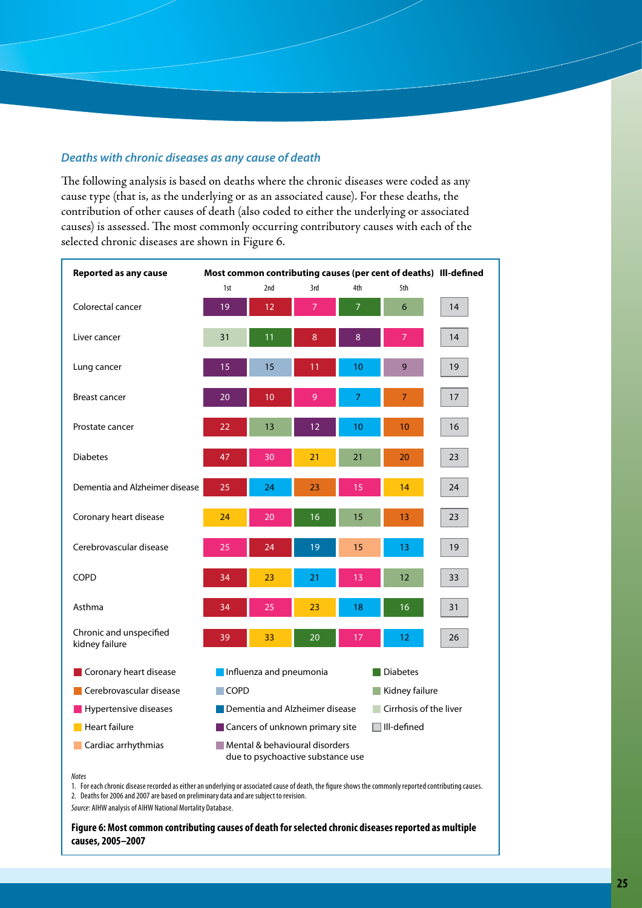#### *Deaths with chronic diseases as any cause of death*

The following analysis is based on deaths where the chronic diseases were coded as any cause type (that is, as the underlying or as an associated cause). For these deaths, the contribution of other causes of death (also coded to either the underlying or associated causes) is assessed. The most commonly occurring contributory causes with each of the selected chronic diseases are shown in Figure 6.

| <b>Reported as any cause</b>              |             |                         |                                                                     |                | Most common contributing causes (per cent of deaths) Ill-defined |    |
|-------------------------------------------|-------------|-------------------------|---------------------------------------------------------------------|----------------|------------------------------------------------------------------|----|
|                                           | 1st         | 2nd                     | 3rd                                                                 | 4th            | 5th                                                              |    |
| Colorectal cancer                         | 19          | 12                      | $\overline{7}$                                                      | $\overline{7}$ | 6                                                                | 14 |
| Liver cancer                              | 31          | 11                      | 8                                                                   | $\bf 8$        | $\overline{7}$                                                   | 14 |
| Lung cancer                               | 15          | 15                      | 11                                                                  | 10             | 9                                                                | 19 |
| <b>Breast cancer</b>                      | 20          | 10                      | $\overline{9}$                                                      | 7              | $\overline{7}$                                                   | 17 |
| Prostate cancer                           | 22          | 13                      | 12                                                                  | 10             | 10                                                               | 16 |
| <b>Diabetes</b>                           | 47          | 30                      | 21                                                                  | 21             | 20                                                               | 23 |
| Dementia and Alzheimer disease            | 25          | 24                      | 23                                                                  | 15             | 14                                                               | 24 |
| Coronary heart disease                    | 24          | 20                      | 16                                                                  | 15             | 13                                                               | 23 |
| Cerebrovascular disease                   | 25          | 24                      | 19                                                                  | 15             | 13                                                               | 19 |
| COPD                                      | 34          | 23                      | 21                                                                  | 13             | 12                                                               | 33 |
| Asthma                                    | 34          | 25                      | 23                                                                  | 18             | 16                                                               | 31 |
| Chronic and unspecified<br>kidney failure | 39          | 33                      | 20                                                                  | 17             | 12                                                               | 26 |
| Coronary heart disease                    |             | Influenza and pneumonia |                                                                     |                | <b>Diabetes</b>                                                  |    |
| Cerebrovascular disease                   | $\Box$ COPD |                         |                                                                     |                | Kidney failure                                                   |    |
| Hypertensive diseases                     |             |                         | Dementia and Alzheimer disease                                      |                | Cirrhosis of the liver                                           |    |
| Heart failure                             |             |                         | Cancers of unknown primary site                                     |                | $\Box$ III-defined                                               |    |
| Cardiac arrhythmias                       |             |                         | Mental & behavioural disorders<br>due to psychoactive substance use |                |                                                                  |    |

#### *Notes*

1. For each chronic disease recorded as either an underlying or associated cause of death, the figure shows the commonly reported contributing causes. 2. Deaths for 2006 and 2007 are based on preliminary data and are subject to revision.

*Source*: AIHW analysis of AIHW National Mortality Database.

**Figure 6: Most common contributing causes of death for selected chronic diseases reported as multiple causes, 2005–2007**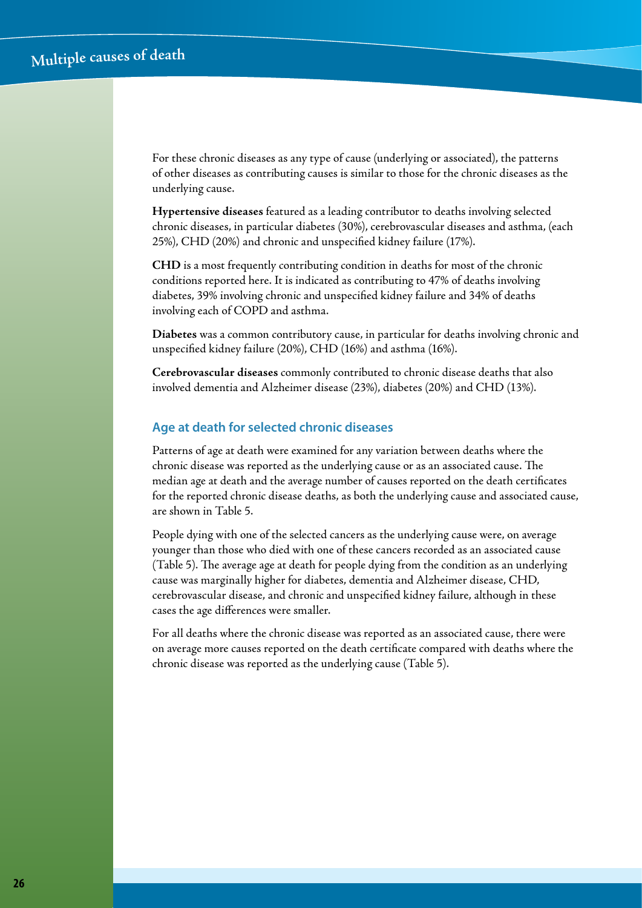For these chronic diseases as any type of cause (underlying or associated), the patterns of other diseases as contributing causes is similar to those for the chronic diseases as the underlying cause.

**Hypertensive diseases** featured as a leading contributor to deaths involving selected chronic diseases, in particular diabetes (30%), cerebrovascular diseases and asthma, (each 25%), CHD (20%) and chronic and unspecified kidney failure (17%).

**CHD** is a most frequently contributing condition in deaths for most of the chronic conditions reported here. It is indicated as contributing to 47% of deaths involving diabetes, 39% involving chronic and unspecified kidney failure and 34% of deaths involving each of COPD and asthma.

**Diabetes** was a common contributory cause, in particular for deaths involving chronic and unspecified kidney failure (20%), CHD (16%) and asthma (16%).

**Cerebrovascular diseases** commonly contributed to chronic disease deaths that also involved dementia and Alzheimer disease (23%), diabetes (20%) and CHD (13%).

#### **Age at death for selected chronic diseases**

Patterns of age at death were examined for any variation between deaths where the chronic disease was reported as the underlying cause or as an associated cause. The median age at death and the average number of causes reported on the death certificates for the reported chronic disease deaths, as both the underlying cause and associated cause, are shown in Table 5.

People dying with one of the selected cancers as the underlying cause were, on average younger than those who died with one of these cancers recorded as an associated cause (Table 5). The average age at death for people dying from the condition as an underlying cause was marginally higher for diabetes, dementia and Alzheimer disease, CHD, cerebrovascular disease, and chronic and unspecified kidney failure, although in these cases the age differences were smaller.

For all deaths where the chronic disease was reported as an associated cause, there were on average more causes reported on the death certificate compared with deaths where the chronic disease was reported as the underlying cause (Table 5).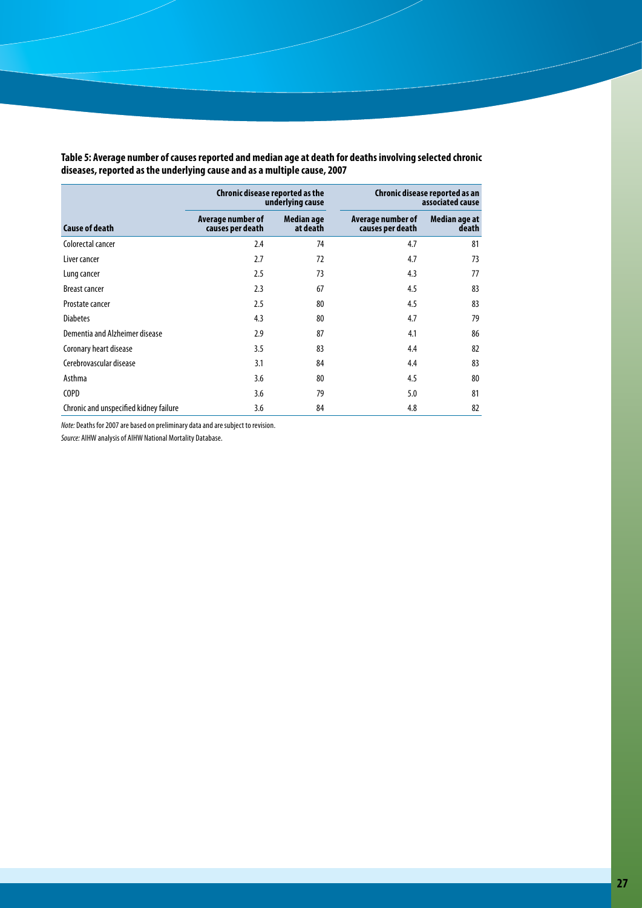|                                        | Chronic disease reported as the<br>underlying cause |                        |                                       | Chronic disease reported as an<br>associated cause |
|----------------------------------------|-----------------------------------------------------|------------------------|---------------------------------------|----------------------------------------------------|
| <b>Cause of death</b>                  | Average number of<br>causes per death               | Median age<br>at death | Average number of<br>causes per death | Median age at<br>death                             |
| Colorectal cancer                      | 2.4                                                 | 74                     | 4.7                                   | 81                                                 |
| Liver cancer                           | 2.7                                                 | 72                     | 4.7                                   | 73                                                 |
| Lung cancer                            | 2.5                                                 | 73                     | 4.3                                   | 77                                                 |
| <b>Breast cancer</b>                   | 2.3                                                 | 67                     | 4.5                                   | 83                                                 |
| Prostate cancer                        | 2.5                                                 | 80                     | 4.5                                   | 83                                                 |
| <b>Diabetes</b>                        | 4.3                                                 | 80                     | 4.7                                   | 79                                                 |
| Dementia and Alzheimer disease         | 2.9                                                 | 87                     | 4.1                                   | 86                                                 |
| Coronary heart disease                 | 3.5                                                 | 83                     | 4.4                                   | 82                                                 |
| Cerebrovascular disease                | 3.1                                                 | 84                     | 4.4                                   | 83                                                 |
| Asthma                                 | 3.6                                                 | 80                     | 4.5                                   | 80                                                 |
| <b>COPD</b>                            | 3.6                                                 | 79                     | 5.0                                   | 81                                                 |
| Chronic and unspecified kidney failure | 3.6                                                 | 84                     | 4.8                                   | 82                                                 |

**Table 5: Average number of causes reported and median age at death for deaths involving selected chronic diseases, reported as the underlying cause and as a multiple cause, 2007**

*Note:* Deaths for 2007 are based on preliminary data and are subject to revision.

*Source:* AIHW analysis of AIHW National Mortality Database.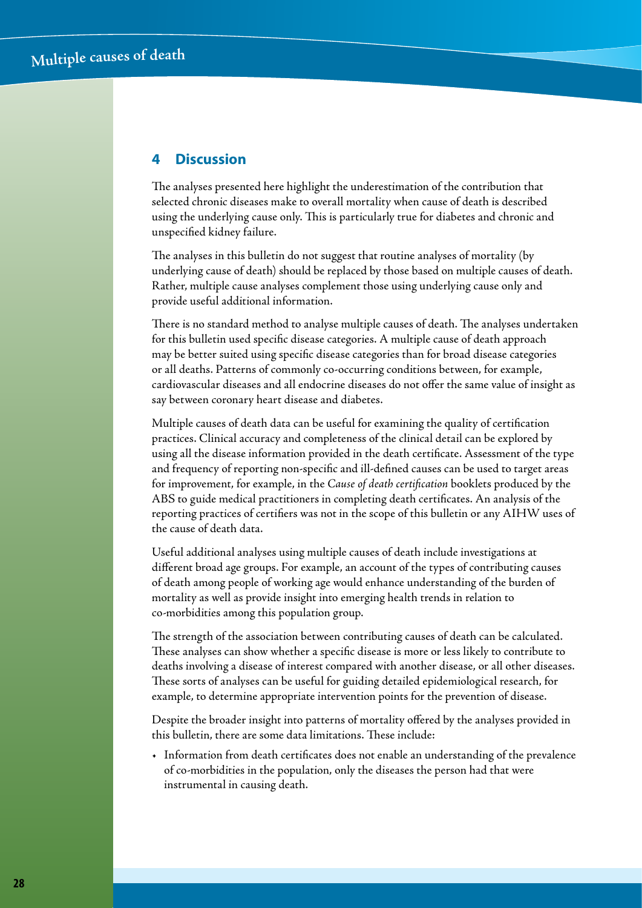## **4 Discussion**

The analyses presented here highlight the underestimation of the contribution that selected chronic diseases make to overall mortality when cause of death is described using the underlying cause only. This is particularly true for diabetes and chronic and unspecified kidney failure.

The analyses in this bulletin do not suggest that routine analyses of mortality (by underlying cause of death) should be replaced by those based on multiple causes of death. Rather, multiple cause analyses complement those using underlying cause only and provide useful additional information.

There is no standard method to analyse multiple causes of death. The analyses undertaken for this bulletin used specific disease categories. A multiple cause of death approach may be better suited using specific disease categories than for broad disease categories or all deaths. Patterns of commonly co-occurring conditions between, for example, cardiovascular diseases and all endocrine diseases do not offer the same value of insight as say between coronary heart disease and diabetes.

Multiple causes of death data can be useful for examining the quality of certification practices. Clinical accuracy and completeness of the clinical detail can be explored by using all the disease information provided in the death certificate. Assessment of the type and frequency of reporting non-specific and ill-defined causes can be used to target areas for improvement, for example, in the *Cause of death certification* booklets produced by the ABS to guide medical practitioners in completing death certificates. An analysis of the reporting practices of certifiers was not in the scope of this bulletin or any AIHW uses of the cause of death data.

Useful additional analyses using multiple causes of death include investigations at different broad age groups. For example, an account of the types of contributing causes of death among people of working age would enhance understanding of the burden of mortality as well as provide insight into emerging health trends in relation to co-morbidities among this population group.

The strength of the association between contributing causes of death can be calculated. These analyses can show whether a specific disease is more or less likely to contribute to deaths involving a disease of interest compared with another disease, or all other diseases. These sorts of analyses can be useful for guiding detailed epidemiological research, for example, to determine appropriate intervention points for the prevention of disease.

Despite the broader insight into patterns of mortality offered by the analyses provided in this bulletin, there are some data limitations. These include:

• Information from death certificates does not enable an understanding of the prevalence of co-morbidities in the population, only the diseases the person had that were instrumental in causing death.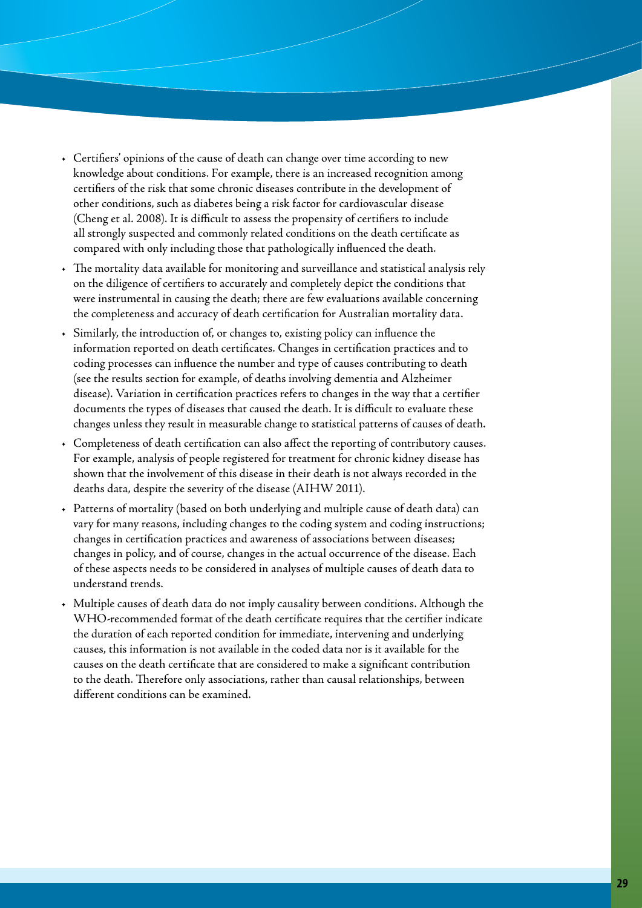- Certifiers' opinions of the cause of death can change over time according to new knowledge about conditions. For example, there is an increased recognition among certifiers of the risk that some chronic diseases contribute in the development of other conditions, such as diabetes being a risk factor for cardiovascular disease (Cheng et al. 2008). It is difficult to assess the propensity of certifiers to include all strongly suspected and commonly related conditions on the death certificate as compared with only including those that pathologically influenced the death.
- The mortality data available for monitoring and surveillance and statistical analysis rely on the diligence of certifiers to accurately and completely depict the conditions that were instrumental in causing the death; there are few evaluations available concerning the completeness and accuracy of death certification for Australian mortality data.
- Similarly, the introduction of, or changes to, existing policy can influence the information reported on death certificates. Changes in certification practices and to coding processes can influence the number and type of causes contributing to death (see the results section for example, of deaths involving dementia and Alzheimer disease). Variation in certification practices refers to changes in the way that a certifier documents the types of diseases that caused the death. It is difficult to evaluate these changes unless they result in measurable change to statistical patterns of causes of death.
- • Completeness of death certification can also affect the reporting of contributory causes. For example, analysis of people registered for treatment for chronic kidney disease has shown that the involvement of this disease in their death is not always recorded in the deaths data, despite the severity of the disease (AIHW 2011).
- • Patterns of mortality (based on both underlying and multiple cause of death data) can vary for many reasons, including changes to the coding system and coding instructions; changes in certification practices and awareness of associations between diseases; changes in policy, and of course, changes in the actual occurrence of the disease. Each of these aspects needs to be considered in analyses of multiple causes of death data to understand trends.
- Multiple causes of death data do not imply causality between conditions. Although the WHO-recommended format of the death certificate requires that the certifier indicate the duration of each reported condition for immediate, intervening and underlying causes, this information is not available in the coded data nor is it available for the causes on the death certificate that are considered to make a significant contribution to the death. Therefore only associations, rather than causal relationships, between different conditions can be examined.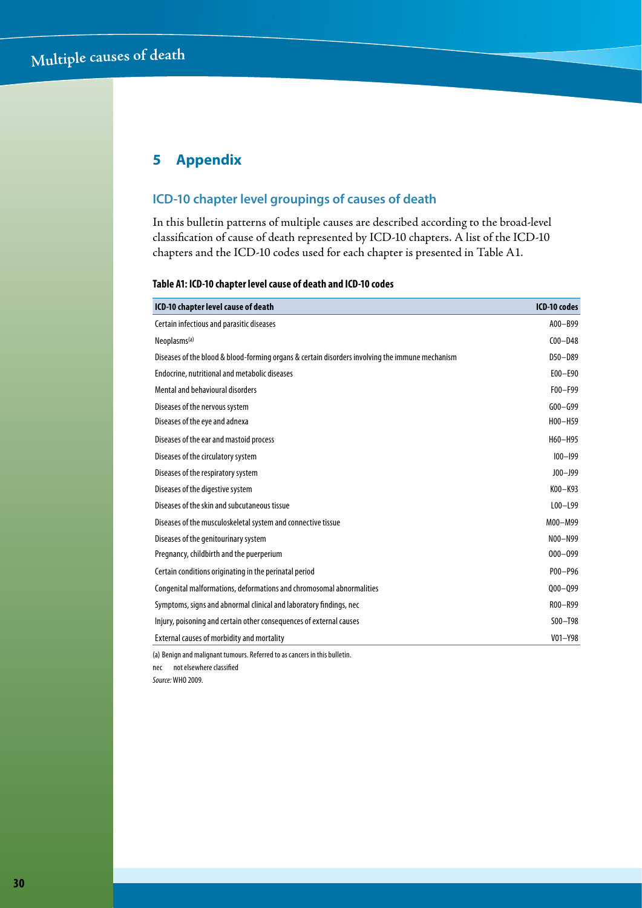## **5 Appendix**

## **ICD-10 chapter level groupings of causes of death**

In this bulletin patterns of multiple causes are described according to the broad-level classification of cause of death represented by ICD-10 chapters. A list of the ICD-10 chapters and the ICD-10 codes used for each chapter is presented in Table A1.

#### **Table A1: ICD-10 chapter level cause of death and ICD-10 codes**

| ICD-10 chapter level cause of death                                                             | <b>ICD-10 codes</b> |
|-------------------------------------------------------------------------------------------------|---------------------|
| Certain infectious and parasitic diseases                                                       | A00-B99             |
| Neoplasms <sup>(a)</sup>                                                                        | $COO - D48$         |
| Diseases of the blood & blood-forming organs & certain disorders involving the immune mechanism | $D50 - D89$         |
| Endocrine, nutritional and metabolic diseases                                                   | $E00 - E90$         |
| Mental and behavioural disorders                                                                | F00-F99             |
| Diseases of the nervous system                                                                  | $G00 - G99$         |
| Diseases of the eye and adnexa                                                                  | H00-H59             |
| Diseases of the ear and mastoid process                                                         | H60-H95             |
| Diseases of the circulatory system                                                              | $100 - 199$         |
| Diseases of the respiratory system                                                              | $JO0 - J99$         |
| Diseases of the digestive system                                                                | K00-K93             |
| Diseases of the skin and subcutaneous tissue                                                    | $L00 - L99$         |
| Diseases of the musculoskeletal system and connective tissue                                    | M00-M99             |
| Diseases of the genitourinary system                                                            | N00-N99             |
| Pregnancy, childbirth and the puerperium                                                        | $000 - 099$         |
| Certain conditions originating in the perinatal period                                          | P00-P96             |
| Congenital malformations, deformations and chromosomal abnormalities                            | $000 - 099$         |
| Symptoms, signs and abnormal clinical and laboratory findings, nec                              | R00-R99             |
| Injury, poisoning and certain other consequences of external causes                             | $SOO - T98$         |
| External causes of morbidity and mortality                                                      | $V01 - Y98$         |
| (a) Benign and malignant tumours. Referred to as cancers in this bulletin.                      |                     |

nec not elsewhere classified *Source:* WHO 2009.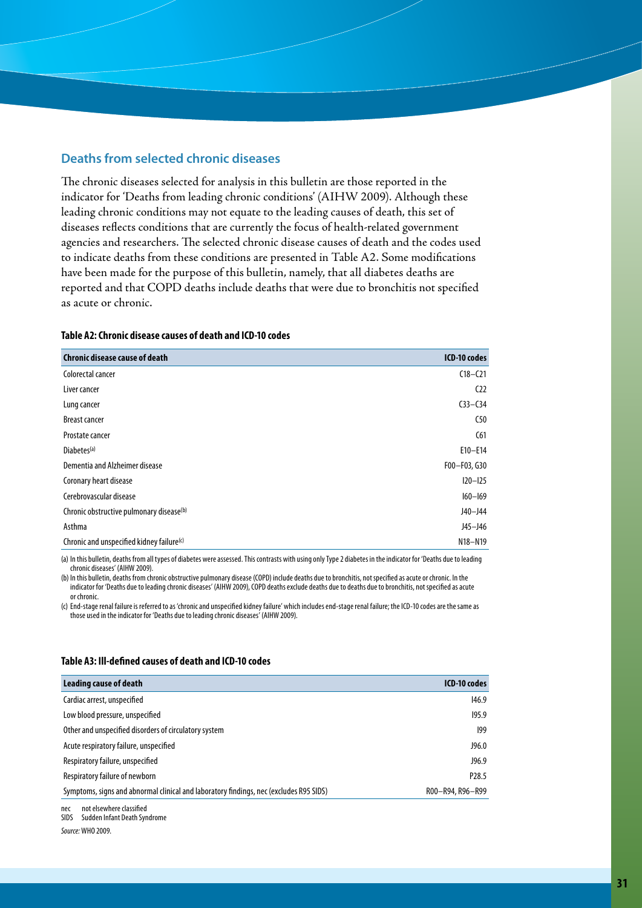#### **Deaths from selected chronic diseases**

The chronic diseases selected for analysis in this bulletin are those reported in the indicator for 'Deaths from leading chronic conditions' (AIHW 2009). Although these leading chronic conditions may not equate to the leading causes of death, this set of diseases reflects conditions that are currently the focus of health-related government agencies and researchers. The selected chronic disease causes of death and the codes used to indicate deaths from these conditions are presented in Table A2. Some modifications have been made for the purpose of this bulletin, namely, that all diabetes deaths are reported and that COPD deaths include deaths that were due to bronchitis not specified as acute or chronic.

#### **Table A2: Chronic disease causes of death and ICD-10 codes**

| <b>Chronic disease cause of death</b>     | ICD-10 codes    |
|-------------------------------------------|-----------------|
| Colorectal cancer                         | $C18 - C21$     |
| Liver cancer                              | C <sub>22</sub> |
| Lung cancer                               | $C33 - C34$     |
| <b>Breast cancer</b>                      | C50             |
| Prostate cancer                           | C61             |
| Diabetes <sup>(a)</sup>                   | $E10 - E14$     |
| Dementia and Alzheimer disease            | F00-F03, G30    |
| Coronary heart disease                    | $120 - 125$     |
| Cerebrovascular disease                   | $160 - 169$     |
| Chronic obstructive pulmonary disease(b)  | $J40 - J44$     |
| Asthma                                    | J45-J46         |
| Chronic and unspecified kidney failure(c) | N18-N19         |

(a) In this bulletin, deaths from all types of diabetes were assessed. This contrasts with using only Type 2 diabetes in the indicator for 'Deaths due to leading chronic diseases' (AIHW 2009).

(b) In this bulletin, deaths from chronic obstructive pulmonary disease (COPD) include deaths due to bronchitis, not specified as acute or chronic. In the indicator for 'Deaths due to leading chronic diseases' (AIHW 2009), COPD deaths exclude deaths due to deaths due to bronchitis, not specified as acute or chronic.

(c) End-stage renal failure is referred to as 'chronic and unspecified kidney failure' which includes end-stage renal failure; the ICD-10 codes are the same as those used in the indicator for 'Deaths due to leading chronic diseases' (AIHW 2009).

#### **Table A3: Ill-defined causes of death and ICD-10 codes**

| <b>Leading cause of death</b>                                                          | ICD-10 codes      |
|----------------------------------------------------------------------------------------|-------------------|
| Cardiac arrest, unspecified                                                            | 146.9             |
| Low blood pressure, unspecified                                                        | 195.9             |
| Other and unspecified disorders of circulatory system                                  | 199               |
| Acute respiratory failure, unspecified                                                 | J96.0             |
| Respiratory failure, unspecified                                                       | J96.9             |
| Respiratory failure of newborn                                                         | P <sub>28.5</sub> |
| Symptoms, signs and abnormal clinical and laboratory findings, nec (excludes R95 SIDS) | R00-R94, R96-R99  |
|                                                                                        |                   |

nec not elsewhere classified SIDS Sudden Infant Death Syndrome

*Source:* WHO 2009.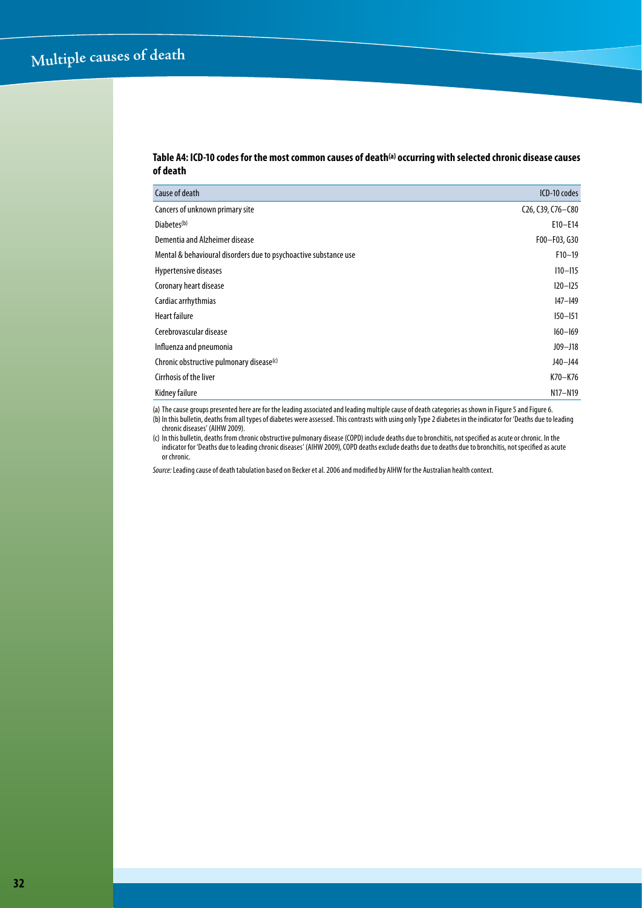#### **Table A4: ICD-10 codes for the most common causes of death(a) occurring with selected chronic disease causes of death**

| Cause of death                                                   | ICD-10 codes                                                         |
|------------------------------------------------------------------|----------------------------------------------------------------------|
| Cancers of unknown primary site                                  | C <sub>26</sub> , C <sub>39</sub> , C <sub>76</sub> -C <sub>80</sub> |
| Diabetes <sup>(b)</sup>                                          | $E10 - E14$                                                          |
| Dementia and Alzheimer disease                                   | F00-F03, G30                                                         |
| Mental & behavioural disorders due to psychoactive substance use | $F10-19$                                                             |
| Hypertensive diseases                                            | $110 - 115$                                                          |
| Coronary heart disease                                           | $120 - 125$                                                          |
| Cardiac arrhythmias                                              | $ 47 -  49 $                                                         |
| <b>Heart failure</b>                                             | $150 - 151$                                                          |
| Cerebrovascular disease                                          | $160 - 169$                                                          |
| Influenza and pneumonia                                          | $J09 - J18$                                                          |
| Chronic obstructive pulmonary disease <sup>(c)</sup>             | $J40 - J44$                                                          |
| Cirrhosis of the liver                                           | K70-K76                                                              |
| Kidney failure                                                   | N17-N19                                                              |

(a) The cause groups presented here are for the leading associated and leading multiple cause of death categories as shown in Figure 5 and Figure 6.

(b) In this bulletin, deaths from all types of diabetes were assessed. This contrasts with using only Type 2 diabetes in the indicator for 'Deaths due to leading (b) In this bulletin, deaths from all types of diabetes were chronic diseases' (AIHW 2009).

(c) In this bulletin, deaths from chronic obstructive pulmonary disease (COPD) include deaths due to bronchitis, not specified as acute or chronic. In the indicator for 'Deaths due to leading chronic diseases' (AIHW 2009), COPD deaths exclude deaths due to deaths due to bronchitis, not specified as acute or chronic.

*Source:* Leading cause of death tabulation based on Becker et al. 2006 and modified by AIHW for the Australian health context.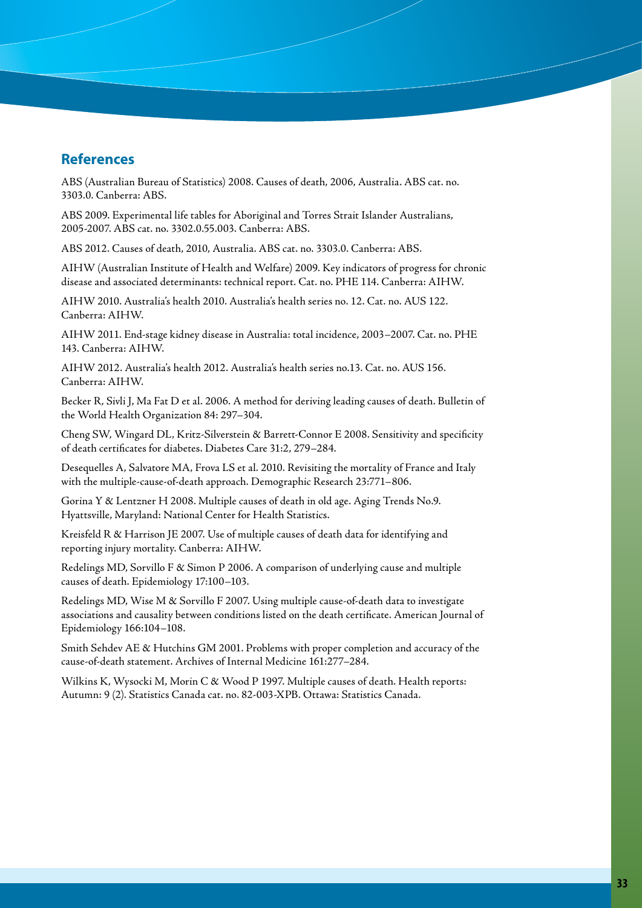## **References**

ABS (Australian Bureau of Statistics) 2008. Causes of death, 2006, Australia. ABS cat. no. 3303.0. Canberra: ABS.

ABS 2009. Experimental life tables for Aboriginal and Torres Strait Islander Australians, 2005-2007. ABS cat. no. 3302.0.55.003. Canberra: ABS.

ABS 2012. Causes of death, 2010, Australia. ABS cat. no. 3303.0. Canberra: ABS.

AIHW (Australian Institute of Health and Welfare) 2009. Key indicators of progress for chronic disease and associated determinants: technical report. Cat. no. PHE 114. Canberra: AIHW.

AIHW 2010. Australia's health 2010. Australia's health series no. 12. Cat. no. AUS 122. Canberra: AIHW.

AIHW 2011. End-stage kidney disease in Australia: total incidence, 2003–2007. Cat. no. PHE 143. Canberra: AIHW.

AIHW 2012. Australia's health 2012. Australia's health series no.13. Cat. no. AUS 156. Canberra: AIHW.

Becker R, Sivli J, Ma Fat D et al. 2006. A method for deriving leading causes of death. Bulletin of the World Health Organization 84: 297–304.

Cheng SW, Wingard DL, Kritz-Silverstein & Barrett-Connor E 2008. Sensitivity and specificity of death certificates for diabetes. Diabetes Care 31:2, 279–284.

Desequelles A, Salvatore MA, Frova LS et al. 2010. Revisiting the mortality of France and Italy with the multiple-cause-of-death approach. Demographic Research 23:771–806.

Gorina Y & Lentzner H 2008. Multiple causes of death in old age. Aging Trends No.9. Hyattsville, Maryland: National Center for Health Statistics.

Kreisfeld R & Harrison JE 2007. Use of multiple causes of death data for identifying and reporting injury mortality. Canberra: AIHW.

Redelings MD, Sorvillo F & Simon P 2006. A comparison of underlying cause and multiple causes of death. Epidemiology 17:100–103.

Redelings MD, Wise M & Sorvillo F 2007. Using multiple cause-of-death data to investigate associations and causality between conditions listed on the death certificate. American Journal of Epidemiology 166:104–108.

Smith Sehdev AE & Hutchins GM 2001. Problems with proper completion and accuracy of the cause-of-death statement. Archives of Internal Medicine 161:277–284.

Wilkins K, Wysocki M, Morin C & Wood P 1997. Multiple causes of death. Health reports: Autumn: 9 (2). Statistics Canada cat. no. 82-003-XPB. Ottawa: Statistics Canada.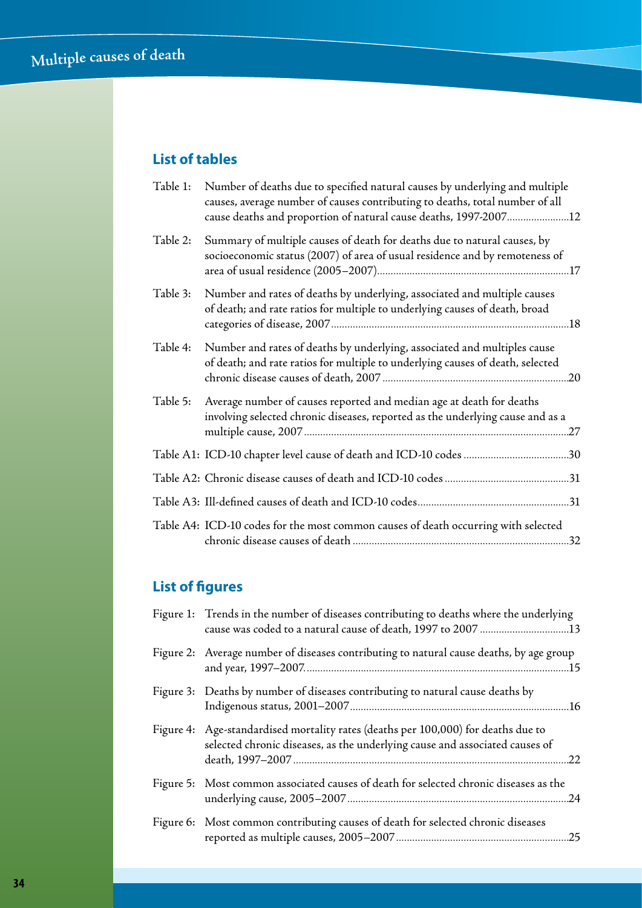## **List of tables**

| Table 1: | Number of deaths due to specified natural causes by underlying and multiple<br>causes, average number of causes contributing to deaths, total number of all<br>cause deaths and proportion of natural cause deaths, 1997-200712 |
|----------|---------------------------------------------------------------------------------------------------------------------------------------------------------------------------------------------------------------------------------|
| Table 2: | Summary of multiple causes of death for deaths due to natural causes, by<br>socioeconomic status (2007) of area of usual residence and by remoteness of                                                                         |
| Table 3: | Number and rates of deaths by underlying, associated and multiple causes<br>of death; and rate ratios for multiple to underlying causes of death, broad                                                                         |
| Table 4: | Number and rates of deaths by underlying, associated and multiples cause<br>of death; and rate ratios for multiple to underlying causes of death, selected                                                                      |
| Table 5: | Average number of causes reported and median age at death for deaths<br>involving selected chronic diseases, reported as the underlying cause and as a                                                                          |
|          |                                                                                                                                                                                                                                 |
|          |                                                                                                                                                                                                                                 |
|          |                                                                                                                                                                                                                                 |
|          | Table A4: ICD-10 codes for the most common causes of death occurring with selected                                                                                                                                              |

## **List of figures**

| Figure 1: Trends in the number of diseases contributing to deaths where the underlying                                                                           |
|------------------------------------------------------------------------------------------------------------------------------------------------------------------|
| Figure 2: Average number of diseases contributing to natural cause deaths, by age group                                                                          |
| Figure 3: Deaths by number of diseases contributing to natural cause deaths by                                                                                   |
| Figure 4: Age-standardised mortality rates (deaths per 100,000) for deaths due to<br>selected chronic diseases, as the underlying cause and associated causes of |
| Figure 5: Most common associated causes of death for selected chronic diseases as the                                                                            |
| Figure 6: Most common contributing causes of death for selected chronic diseases                                                                                 |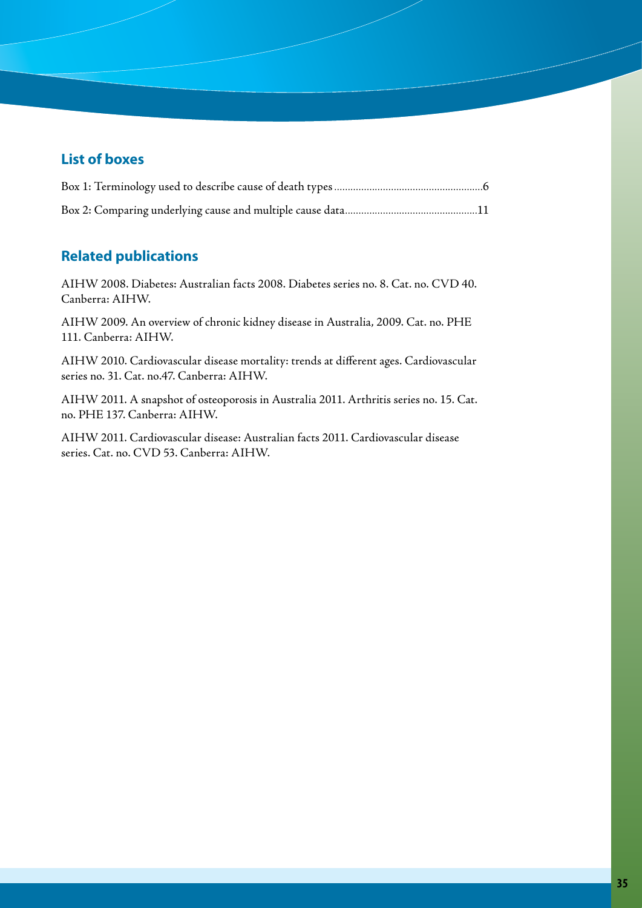## **List of boxes**

## **Related publications**

AIHW 2008. Diabetes: Australian facts 2008. Diabetes series no. 8. Cat. no. CVD 40. Canberra: AIHW.

AIHW 2009. An overview of chronic kidney disease in Australia, 2009. Cat. no. PHE 111. Canberra: AIHW.

AIHW 2010. Cardiovascular disease mortality: trends at different ages. Cardiovascular series no. 31. Cat. no.47. Canberra: AIHW.

AIHW 2011. A snapshot of osteoporosis in Australia 2011. Arthritis series no. 15. Cat. no. PHE 137. Canberra: AIHW.

AIHW 2011. Cardiovascular disease: Australian facts 2011. Cardiovascular disease series. Cat. no. CVD 53. Canberra: AIHW.